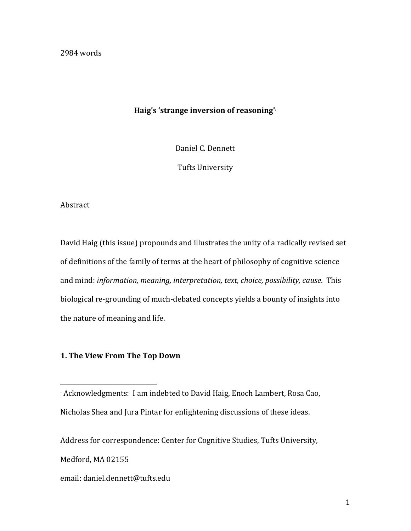2984 words 

# Haig's 'strange inversion of reasoning'<sup>.</sup>

Daniel C. Dennett

Tufts University

Abstract

David Haig (this issue) propounds and illustrates the unity of a radically revised set of definitions of the family of terms at the heart of philosophy of cognitive science and mind: *information, meaning, interpretation, text, choice, possibility, cause*. This biological re-grounding of much-debated concepts yields a bounty of insights into the nature of meaning and life.

# **1. The View From The Top Down**

 

<sup>∗</sup> Acknowledgments: I am indebted to David Haig, Enoch Lambert, Rosa Cao, Nicholas Shea and Jura Pintar for enlightening discussions of these ideas.

Address for correspondence: Center for Cognitive Studies, Tufts University,

Medford, MA 02155

email: daniel.dennett@tufts.edu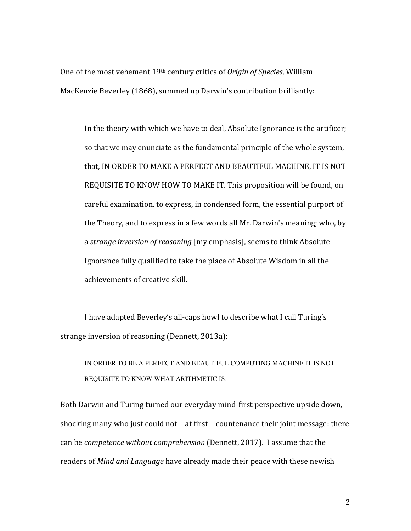One of the most vehement 19<sup>th</sup> century critics of *Origin of Species*, William MacKenzie Beverley (1868), summed up Darwin's contribution brilliantly:

In the theory with which we have to deal, Absolute Ignorance is the artificer; so that we may enunciate as the fundamental principle of the whole system, that, IN ORDER TO MAKE A PERFECT AND BEAUTIFUL MACHINE, IT IS NOT REQUISITE TO KNOW HOW TO MAKE IT. This proposition will be found, on careful examination, to express, in condensed form, the essential purport of the Theory, and to express in a few words all Mr. Darwin's meaning; who, by a *strange inversion of reasoning* [my emphasis], seems to think Absolute Ignorance fully qualified to take the place of Absolute Wisdom in all the achievements of creative skill.

I have adapted Beverley's all-caps howl to describe what I call Turing's strange inversion of reasoning (Dennett, 2013a):

IN ORDER TO BE A PERFECT AND BEAUTIFUL COMPUTING MACHINE IT IS NOT REQUISITE TO KNOW WHAT ARITHMETIC IS.

Both Darwin and Turing turned our everyday mind-first perspective upside down, shocking many who just could not—at first—countenance their joint message: there can be *competence without comprehension* (Dennett, 2017). I assume that the readers of *Mind and Language* have already made their peace with these newish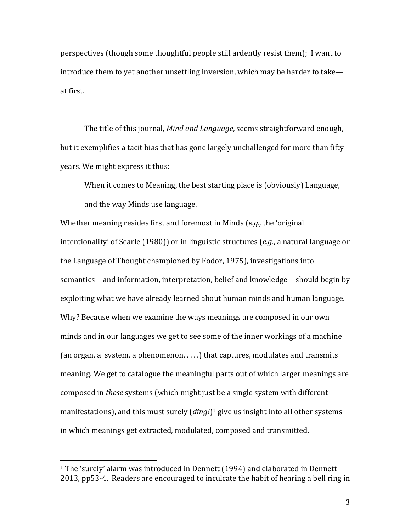perspectives (though some thoughtful people still ardently resist them); I want to introduce them to yet another unsettling inversion, which may be harder to take at first. 

The title of this journal, *Mind and Language*, seems straightforward enough, but it exemplifies a tacit bias that has gone largely unchallenged for more than fifty years. We might express it thus:

When it comes to Meaning, the best starting place is (obviously) Language, and the way Minds use language.

Whether meaning resides first and foremost in Minds (*e.g.*, the 'original intentionality' of Searle (1980)) or in linguistic structures (*e.g.*, a natural language or the Language of Thought championed by Fodor, 1975), investigations into semantics—and information, interpretation, belief and knowledge—should begin by exploiting what we have already learned about human minds and human language. Why? Because when we examine the ways meanings are composed in our own minds and in our languages we get to see some of the inner workings of a machine (an organ, a system, a phenomenon, ....) that captures, modulates and transmits meaning. We get to catalogue the meaningful parts out of which larger meanings are composed in *these* systems (which might just be a single system with different manifestations), and this must surely  $(ding!)$ <sup>1</sup> give us insight into all other systems in which meanings get extracted, modulated, composed and transmitted.

 $1$  The 'surely' alarm was introduced in Dennett (1994) and elaborated in Dennett 2013, pp53-4. Readers are encouraged to inculcate the habit of hearing a bell ring in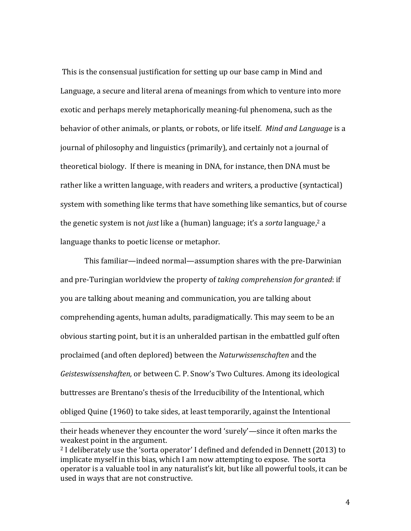This is the consensual justification for setting up our base camp in Mind and Language, a secure and literal arena of meanings from which to venture into more exotic and perhaps merely metaphorically meaning-ful phenomena, such as the behavior of other animals, or plants, or robots, or life itself. *Mind and Language* is a journal of philosophy and linguistics (primarily), and certainly not a journal of theoretical biology. If there is meaning in DNA, for instance, then DNA must be rather like a written language, with readers and writers, a productive (syntactical) system with something like terms that have something like semantics, but of course the genetic system is not *just* like a (human) language; it's a *sorta* language,<sup>2</sup> a language thanks to poetic license or metaphor.

This familiar—indeed normal—assumption shares with the pre-Darwinian and pre-Turingian worldview the property of *taking comprehension for granted*: if you are talking about meaning and communication, you are talking about comprehending agents, human adults, paradigmatically. This may seem to be an obvious starting point, but it is an unheralded partisan in the embattled gulf often proclaimed (and often deplored) between the *Naturwissenschaften* and the *Geisteswissenshaften,* or between C. P. Snow's Two Cultures. Among its ideological buttresses are Brentano's thesis of the Irreducibility of the Intentional, which obliged Quine (1960) to take sides, at least temporarily, against the Intentional <u> 1989 - Andrea Santa Andrea Andrea Andrea Andrea Andrea Andrea Andrea Andrea Andrea Andrea Andrea Andrea Andr</u>

their heads whenever they encounter the word 'surely'—since it often marks the weakest point in the argument.

<sup>&</sup>lt;sup>2</sup> I deliberately use the 'sorta operator' I defined and defended in Dennett (2013) to implicate myself in this bias, which I am now attempting to expose. The sorta operator is a valuable tool in any naturalist's kit, but like all powerful tools, it can be used in ways that are not constructive.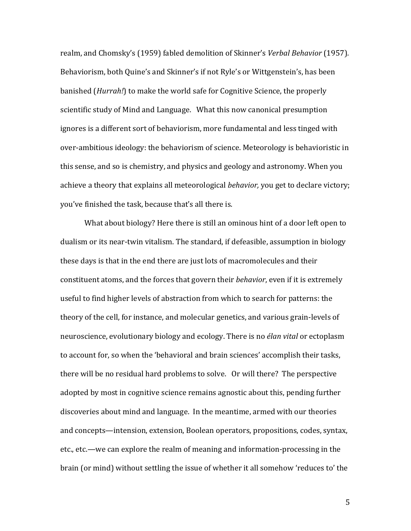realm, and Chomsky's (1959) fabled demolition of Skinner's *Verbal Behavior* (1957). Behaviorism, both Quine's and Skinner's if not Ryle's or Wittgenstein's, has been banished (*Hurrah!*) to make the world safe for Cognitive Science, the properly scientific study of Mind and Language. What this now canonical presumption ignores is a different sort of behaviorism, more fundamental and less tinged with over-ambitious ideology: the behaviorism of science. Meteorology is behavioristic in this sense, and so is chemistry, and physics and geology and astronomy. When you achieve a theory that explains all meteorological *behavior*, you get to declare victory; you've finished the task, because that's all there is.

What about biology? Here there is still an ominous hint of a door left open to dualism or its near-twin vitalism. The standard, if defeasible, assumption in biology these days is that in the end there are just lots of macromolecules and their constituent atoms, and the forces that govern their *behavior*, even if it is extremely useful to find higher levels of abstraction from which to search for patterns: the theory of the cell, for instance, and molecular genetics, and various grain-levels of neuroscience, evolutionary biology and ecology. There is no *élan vital* or ectoplasm to account for, so when the 'behavioral and brain sciences' accomplish their tasks, there will be no residual hard problems to solve. Or will there? The perspective adopted by most in cognitive science remains agnostic about this, pending further discoveries about mind and language. In the meantime, armed with our theories and concepts—intension, extension, Boolean operators, propositions, codes, syntax, etc., etc.—we can explore the realm of meaning and information-processing in the brain (or mind) without settling the issue of whether it all somehow 'reduces to' the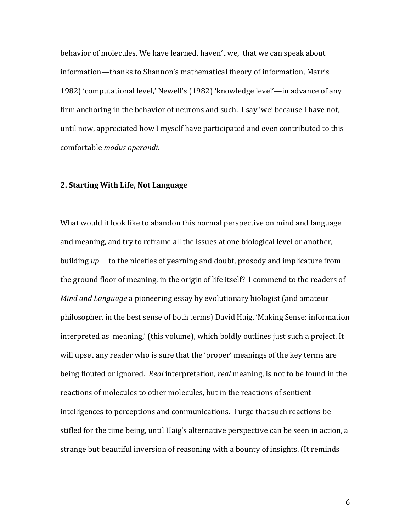behavior of molecules. We have learned, haven't we, that we can speak about information—thanks to Shannon's mathematical theory of information, Marr's 1982) 'computational level,' Newell's (1982) 'knowledge level'—in advance of any firm anchoring in the behavior of neurons and such. I say 'we' because I have not, until now, appreciated how I myself have participated and even contributed to this comfortable *modus* operandi.

# **2. Starting With Life, Not Language**

What would it look like to abandon this normal perspective on mind and language and meaning, and try to reframe all the issues at one biological level or another, building *up* to the niceties of yearning and doubt, prosody and implicature from the ground floor of meaning, in the origin of life itself? I commend to the readers of *Mind and Language* a pioneering essay by evolutionary biologist (and amateur philosopher, in the best sense of both terms) David Haig, 'Making Sense: information interpreted as meaning,' (this volume), which boldly outlines just such a project. It will upset any reader who is sure that the 'proper' meanings of the key terms are being flouted or ignored. *Real* interpretation, *real* meaning, is not to be found in the reactions of molecules to other molecules, but in the reactions of sentient intelligences to perceptions and communications. I urge that such reactions be stifled for the time being, until Haig's alternative perspective can be seen in action, a strange but beautiful inversion of reasoning with a bounty of insights. (It reminds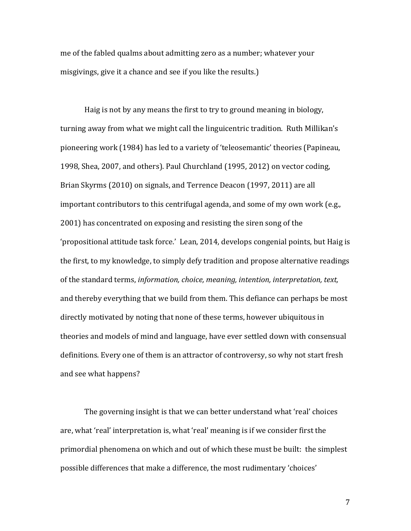me of the fabled qualms about admitting zero as a number; whatever your misgivings, give it a chance and see if you like the results.)

Haig is not by any means the first to try to ground meaning in biology, turning away from what we might call the linguicentric tradition. Ruth Millikan's pioneering work (1984) has led to a variety of 'teleosemantic' theories (Papineau, 1998, Shea, 2007, and others). Paul Churchland (1995, 2012) on vector coding, Brian Skyrms (2010) on signals, and Terrence Deacon (1997, 2011) are all important contributors to this centrifugal agenda, and some of my own work (e.g., 2001) has concentrated on exposing and resisting the siren song of the 'propositional attitude task force.' Lean, 2014, develops congenial points, but Haig is the first, to my knowledge, to simply defy tradition and propose alternative readings of the standard terms, *information, choice, meaning, intention, interpretation, text,* and thereby everything that we build from them. This defiance can perhaps be most directly motivated by noting that none of these terms, however ubiquitous in theories and models of mind and language, have ever settled down with consensual definitions. Every one of them is an attractor of controversy, so why not start fresh and see what happens?

The governing insight is that we can better understand what 'real' choices are, what 'real' interpretation is, what 'real' meaning is if we consider first the primordial phenomena on which and out of which these must be built: the simplest possible differences that make a difference, the most rudimentary 'choices'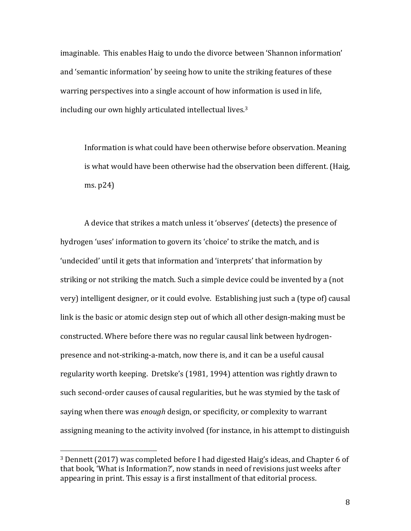imaginable. This enables Haig to undo the divorce between 'Shannon information' and 'semantic information' by seeing how to unite the striking features of these warring perspectives into a single account of how information is used in life, including our own highly articulated intellectual lives.<sup>3</sup>

Information is what could have been otherwise before observation. Meaning is what would have been otherwise had the observation been different. (Haig, ms. p24)

A device that strikes a match unless it 'observes' (detects) the presence of hydrogen 'uses' information to govern its 'choice' to strike the match, and is 'undecided' until it gets that information and 'interprets' that information by striking or not striking the match. Such a simple device could be invented by a (not very) intelligent designer, or it could evolve. Establishing just such a (type of) causal link is the basic or atomic design step out of which all other design-making must be constructed. Where before there was no regular causal link between hydrogenpresence and not-striking-a-match, now there is, and it can be a useful causal regularity worth keeping. Dretske's (1981, 1994) attention was rightly drawn to such second-order causes of causal regularities, but he was stymied by the task of saying when there was *enough* design, or specificity, or complexity to warrant assigning meaning to the activity involved (for instance, in his attempt to distinguish

<sup>&</sup>lt;sup>3</sup> Dennett (2017) was completed before I had digested Haig's ideas, and Chapter 6 of that book, 'What is Information?', now stands in need of revisions just weeks after appearing in print. This essay is a first installment of that editorial process.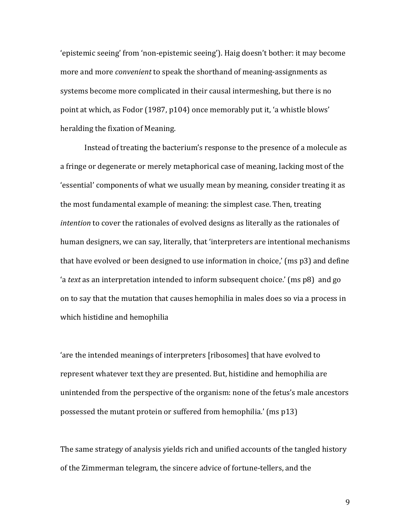'epistemic seeing' from 'non-epistemic seeing'). Haig doesn't bother: it may become more and more *convenient* to speak the shorthand of meaning-assignments as systems become more complicated in their causal intermeshing, but there is no point at which, as Fodor (1987, p104) once memorably put it, 'a whistle blows' heralding the fixation of Meaning.

Instead of treating the bacterium's response to the presence of a molecule as a fringe or degenerate or merely metaphorical case of meaning, lacking most of the 'essential' components of what we usually mean by meaning, consider treating it as the most fundamental example of meaning: the simplest case. Then, treating *intention* to cover the rationales of evolved designs as literally as the rationales of human designers, we can say, literally, that 'interpreters are intentional mechanisms that have evolved or been designed to use information in choice,' (ms  $p3$ ) and define 'a *text* as an interpretation intended to inform subsequent choice.' (ms p8) and go on to say that the mutation that causes hemophilia in males does so via a process in which histidine and hemophilia

'are the intended meanings of interpreters [ribosomes] that have evolved to represent whatever text they are presented. But, histidine and hemophilia are unintended from the perspective of the organism: none of the fetus's male ancestors possessed the mutant protein or suffered from hemophilia.' (ms p13)

The same strategy of analysis yields rich and unified accounts of the tangled history of the Zimmerman telegram, the sincere advice of fortune-tellers, and the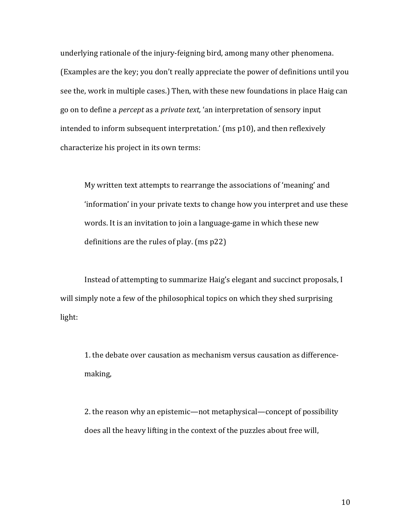underlying rationale of the injury-feigning bird, among many other phenomena. (Examples are the key; you don't really appreciate the power of definitions until you see the, work in multiple cases.) Then, with these new foundations in place Haig can go on to define a *percept* as a *private text,* 'an interpretation of sensory input intended to inform subsequent interpretation.' (ms  $p10$ ), and then reflexively characterize his project in its own terms:

My written text attempts to rearrange the associations of 'meaning' and 'information' in your private texts to change how you interpret and use these words. It is an invitation to join a language-game in which these new definitions are the rules of play.  $(ms p22)$ 

Instead of attempting to summarize Haig's elegant and succinct proposals, I will simply note a few of the philosophical topics on which they shed surprising light: 

1. the debate over causation as mechanism versus causation as differencemaking, 

2. the reason why an epistemic—not metaphysical—concept of possibility does all the heavy lifting in the context of the puzzles about free will,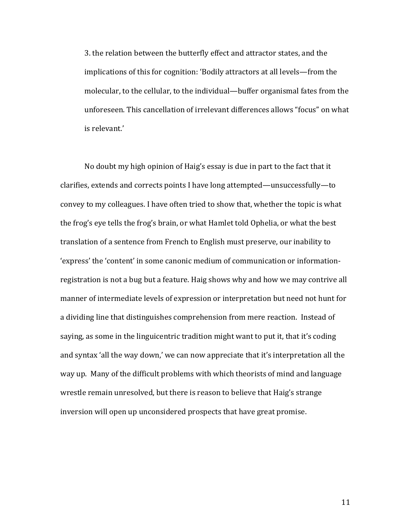3. the relation between the butterfly effect and attractor states, and the implications of this for cognition: 'Bodily attractors at all levels—from the molecular, to the cellular, to the individual—buffer organismal fates from the unforeseen. This cancellation of irrelevant differences allows "focus" on what is relevant.'

No doubt my high opinion of Haig's essay is due in part to the fact that it clarifies, extends and corrects points I have long attempted—unsuccessfully—to convey to my colleagues. I have often tried to show that, whether the topic is what the frog's eye tells the frog's brain, or what Hamlet told Ophelia, or what the best translation of a sentence from French to English must preserve, our inability to 'express' the 'content' in some canonic medium of communication or informationregistration is not a bug but a feature. Haig shows why and how we may contrive all manner of intermediate levels of expression or interpretation but need not hunt for a dividing line that distinguishes comprehension from mere reaction. Instead of saying, as some in the linguicentric tradition might want to put it, that it's coding and syntax 'all the way down,' we can now appreciate that it's interpretation all the way up. Many of the difficult problems with which theorists of mind and language wrestle remain unresolved, but there is reason to believe that Haig's strange inversion will open up unconsidered prospects that have great promise.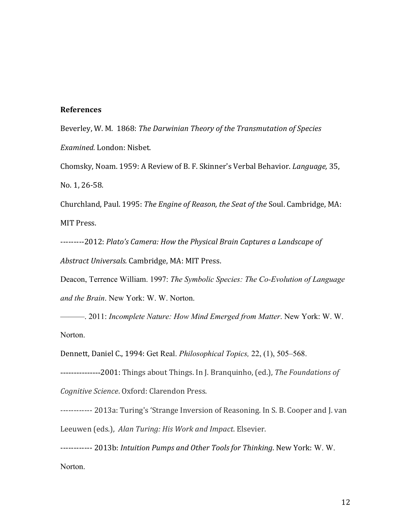## **References**

Beverley, W. M. 1868: *The Darwinian Theory of the Transmutation of Species Examined.* London: Nisbet. 

Chomsky, Noam. 1959: A Review of B. F. Skinner's Verbal Behavior. *Language,* 35, No. 1, 26-58.

Churchland, Paul. 1995: *The Engine of Reason, the Seat of the* Soul. Cambridge, MA: MIT Press.

---------2012: *Plato's Camera: How the Physical Brain Captures a Landscape of* Abstract Universals. Cambridge, MA: MIT Press.

Deacon, Terrence William. 1997: *The Symbolic Species: The Co-Evolution of Language and the Brain*. New York: W. W. Norton.

———. 2011: *Incomplete Nature: How Mind Emerged from Matter*. New York: W. W. Norton.

Dennett, Daniel C., 1994: Get Real. *Philosophical Topics,* 22, (1), 505–568.

---------------2001: Things about Things. In J. Branquinho, (ed.), *The Foundations of* 

*Cognitive Science*. Oxford: Clarendon Press.

------------ 2013a: Turing's 'Strange Inversion of Reasoning. In S. B. Cooper and J. van Leeuwen (eds.), *Alan Turing: His Work and Impact*. Elsevier.

----------- 2013b: *Intuition Pumps and Other Tools for Thinking*. New York: W. W. Norton.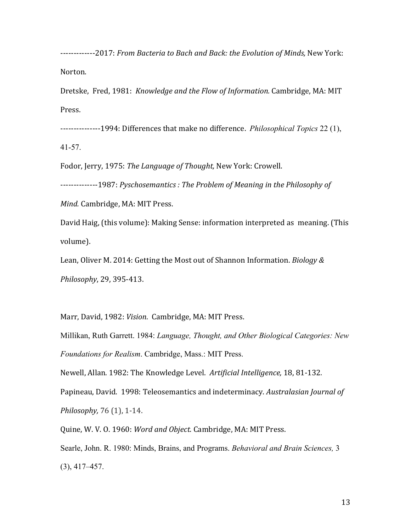-------------2017: *From Bacteria to Bach and Back: the Evolution of Minds*, New York: Norton. 

Dretske, Fred, 1981: *Knowledge and the Flow of Information*. Cambridge, MA: MIT Press.

---------------1994: Differences that make no difference. *Philosophical Topics* 22 (1), 41-57.

Fodor, Jerry, 1975: *The Language of Thought*, New York: Crowell.

--------------1987: *Pyschosemantics : The Problem of Meaning in the Philosophy of Mind.* Cambridge, MA: MIT Press.

David Haig, (this volume): Making Sense: information interpreted as meaning. (This volume).

Lean, Oliver M. 2014: Getting the Most out of Shannon Information. *Biology & Philosophy*, 29, 395-413.

Marr, David, 1982: *Vision*. Cambridge, MA: MIT Press.

Millikan, Ruth Garrett. 1984: *Language, Thought, and Other Biological Categories: New Foundations for Realism*. Cambridge, Mass.: MIT Press.

Newell, Allan. 1982: The Knowledge Level. Artificial Intelligence, 18, 81-132.

Papineau, David. 1998: Teleosemantics and indeterminacy. Australasian Journal of *Philosophy,* 76 (1), 1-14. 

Quine, W. V. O. 1960: *Word and Object.* Cambridge, MA: MIT Press.

Searle, John. R. 1980: Minds, Brains, and Programs. *Behavioral and Brain Sciences,* 3 (3), 417–457.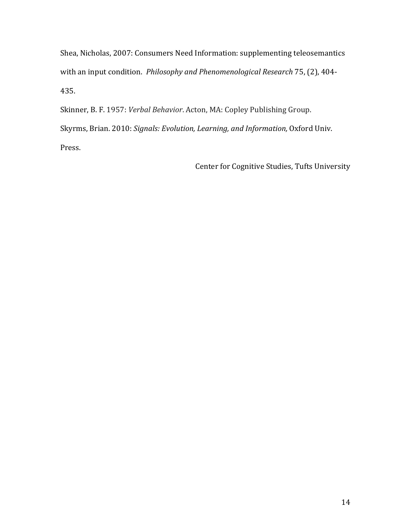Shea, Nicholas, 2007: Consumers Need Information: supplementing teleosemantics with an input condition. *Philosophy and Phenomenological Research* 75, (2), 404-435.

Skinner, B. F. 1957: *Verbal Behavior*. Acton, MA: Copley Publishing Group.

Skyrms, Brian. 2010: *Signals: Evolution, Learning, and Information, Oxford Univ.* 

Press. 

Center for Cognitive Studies, Tufts University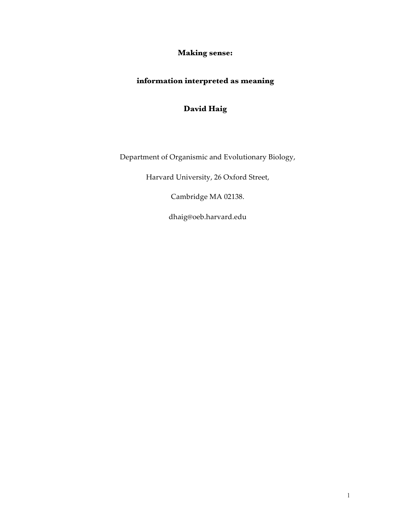**Making sense:**

# **information interpreted as meaning**

# **David Haig**

Department of Organismic and Evolutionary Biology,

Harvard University, 26 Oxford Street,

Cambridge MA 02138.

dhaig@oeb.harvard.edu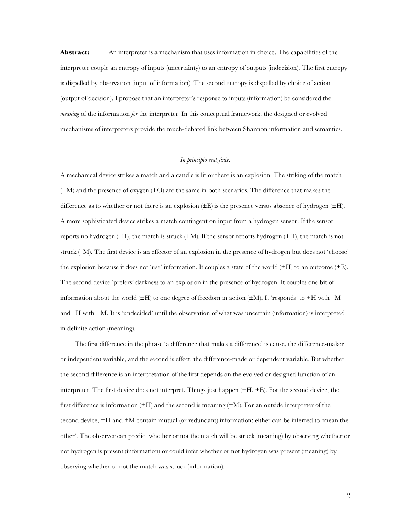**Abstract:** An interpreter is a mechanism that uses information in choice. The capabilities of the interpreter couple an entropy of inputs (uncertainty) to an entropy of outputs (indecision). The first entropy is dispelled by observation (input of information). The second entropy is dispelled by choice of action (output of decision). I propose that an interpreter's response to inputs (information) be considered the *meaning* of the information *for* the interpreter. In this conceptual framework, the designed or evolved mechanisms of interpreters provide the much-debated link between Shannon information and semantics.

#### *In principio erat finis*.

A mechanical device strikes a match and a candle is lit or there is an explosion. The striking of the match  $(+M)$  and the presence of oxygen  $(+O)$  are the same in both scenarios. The difference that makes the difference as to whether or not there is an explosion  $(E)$  is the presence versus absence of hydrogen  $(\pm H)$ . A more sophisticated device strikes a match contingent on input from a hydrogen sensor. If the sensor reports no hydrogen  $(-H)$ , the match is struck  $(+M)$ . If the sensor reports hydrogen  $(+H)$ , the match is not struck (–M). The first device is an effector of an explosion in the presence of hydrogen but does not 'choose' the explosion because it does not 'use' information. It couples a state of the world  $(\pm H)$  to an outcome  $(\pm E)$ . The second device 'prefers' darkness to an explosion in the presence of hydrogen. It couples one bit of information about the world  $(\pm H)$  to one degree of freedom in action  $(\pm M)$ . It 'responds' to  $+H$  with  $-M$ and –H with +M. It is 'undecided' until the observation of what was uncertain (information) is interpreted in definite action (meaning).

The first difference in the phrase 'a difference that makes a difference' is cause, the difference-maker or independent variable, and the second is effect, the difference-made or dependent variable. But whether the second difference is an interpretation of the first depends on the evolved or designed function of an interpreter. The first device does not interpret. Things just happen  $(\pm H, \pm E)$ . For the second device, the first difference is information  $(\pm H)$  and the second is meaning  $(\pm M)$ . For an outside interpreter of the second device, ±H and ±M contain mutual (or redundant) information: either can be inferred to 'mean the other'. The observer can predict whether or not the match will be struck (meaning) by observing whether or not hydrogen is present (information) or could infer whether or not hydrogen was present (meaning) by observing whether or not the match was struck (information).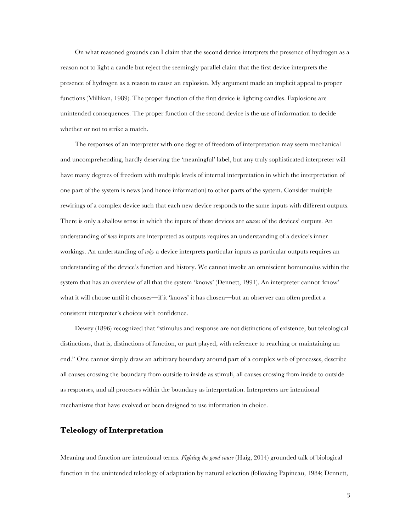On what reasoned grounds can I claim that the second device interprets the presence of hydrogen as a reason not to light a candle but reject the seemingly parallel claim that the first device interprets the presence of hydrogen as a reason to cause an explosion. My argument made an implicit appeal to proper functions (Millikan, 1989). The proper function of the first device is lighting candles. Explosions are unintended consequences. The proper function of the second device is the use of information to decide whether or not to strike a match.

The responses of an interpreter with one degree of freedom of interpretation may seem mechanical and uncomprehending, hardly deserving the 'meaningful' label, but any truly sophisticated interpreter will have many degrees of freedom with multiple levels of internal interpretation in which the interpretation of one part of the system is news (and hence information) to other parts of the system. Consider multiple rewirings of a complex device such that each new device responds to the same inputs with different outputs. There is only a shallow sense in which the inputs of these devices are *causes* of the devices' outputs. An understanding of *how* inputs are interpreted as outputs requires an understanding of a device's inner workings. An understanding of *why* a device interprets particular inputs as particular outputs requires an understanding of the device's function and history. We cannot invoke an omniscient homunculus within the system that has an overview of all that the system 'knows' (Dennett, 1991). An interpreter cannot 'know' what it will choose until it chooses—if it 'knows' it has chosen—but an observer can often predict a consistent interpreter's choices with confidence.

Dewey (1896) recognized that "stimulus and response are not distinctions of existence, but teleological distinctions, that is, distinctions of function, or part played, with reference to reaching or maintaining an end." One cannot simply draw an arbitrary boundary around part of a complex web of processes, describe all causes crossing the boundary from outside to inside as stimuli, all causes crossing from inside to outside as responses, and all processes within the boundary as interpretation. Interpreters are intentional mechanisms that have evolved or been designed to use information in choice.

## **Teleology of Interpretation**

Meaning and function are intentional terms. *Fighting the good cause* (Haig, 2014) grounded talk of biological function in the unintended teleology of adaptation by natural selection (following Papineau, 1984; Dennett,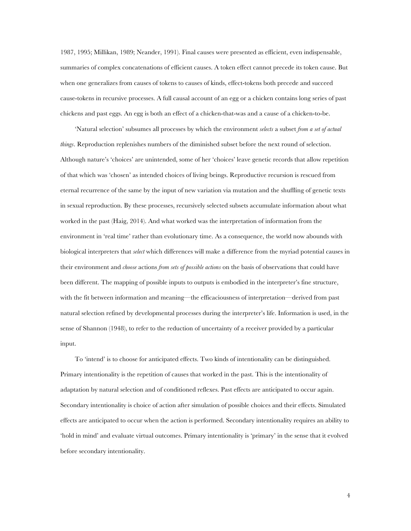1987, 1995; Millikan, 1989; Neander, 1991). Final causes were presented as efficient, even indispensable, summaries of complex concatenations of efficient causes. A token effect cannot precede its token cause. But when one generalizes from causes of tokens to causes of kinds, effect-tokens both precede and succeed cause-tokens in recursive processes. A full causal account of an egg or a chicken contains long series of past chickens and past eggs. An egg is both an effect of a chicken-that-was and a cause of a chicken-to-be.

'Natural selection' subsumes all processes by which the environment *selects* a subset *from a set of actual things*. Reproduction replenishes numbers of the diminished subset before the next round of selection. Although nature's 'choices' are unintended, some of her 'choices' leave genetic records that allow repetition of that which was 'chosen' as intended choices of living beings. Reproductive recursion is rescued from eternal recurrence of the same by the input of new variation via mutation and the shuffling of genetic texts in sexual reproduction. By these processes, recursively selected subsets accumulate information about what worked in the past (Haig, 2014). And what worked was the interpretation of information from the environment in 'real time' rather than evolutionary time. As a consequence, the world now abounds with biological interpreters that *select* which differences will make a difference from the myriad potential causes in their environment and *choose* actions *from sets of possible actions* on the basis of observations that could have been different. The mapping of possible inputs to outputs is embodied in the interpreter's fine structure, with the fit between information and meaning—the efficaciousness of interpretation—derived from past natural selection refined by developmental processes during the interpreter's life. Information is used, in the sense of Shannon (1948), to refer to the reduction of uncertainty of a receiver provided by a particular input.

To 'intend' is to choose for anticipated effects. Two kinds of intentionality can be distinguished. Primary intentionality is the repetition of causes that worked in the past. This is the intentionality of adaptation by natural selection and of conditioned reflexes. Past effects are anticipated to occur again. Secondary intentionality is choice of action after simulation of possible choices and their effects. Simulated effects are anticipated to occur when the action is performed. Secondary intentionality requires an ability to 'hold in mind' and evaluate virtual outcomes. Primary intentionality is 'primary' in the sense that it evolved before secondary intentionality.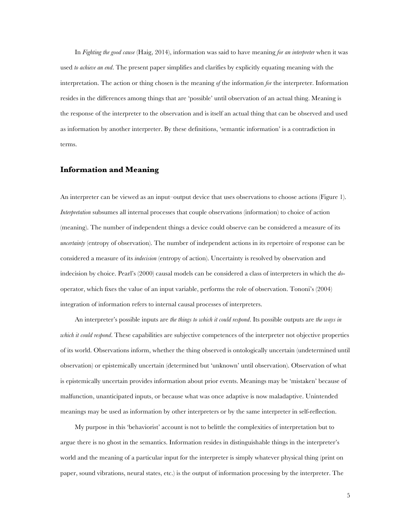In *Fighting the good cause* (Haig, 2014), information was said to have meaning *for an interpreter* when it was used *to achieve an end*. The present paper simplifies and clarifies by explicitly equating meaning with the interpretation. The action or thing chosen is the meaning *of* the information *for* the interpreter. Information resides in the differences among things that are 'possible' until observation of an actual thing. Meaning is the response of the interpreter to the observation and is itself an actual thing that can be observed and used as information by another interpreter. By these definitions, 'semantic information' is a contradiction in terms.

## **Information and Meaning**

An interpreter can be viewed as an input–output device that uses observations to choose actions (Figure 1). *Interpretation* subsumes all internal processes that couple observations (information) to choice of action (meaning). The number of independent things a device could observe can be considered a measure of its *uncertainty* (entropy of observation). The number of independent actions in its repertoire of response can be considered a measure of its *indecision* (entropy of action). Uncertainty is resolved by observation and indecision by choice. Pearl's (2000) causal models can be considered a class of interpreters in which the *do*operator, which fixes the value of an input variable, performs the role of observation. Tononi's (2004) integration of information refers to internal causal processes of interpreters.

An interpreter's possible inputs are *the things to which it could respond*. Its possible outputs are *the ways in which it could respond*. These capabilities are subjective competences of the interpreter not objective properties of its world. Observations inform, whether the thing observed is ontologically uncertain (undetermined until observation) or epistemically uncertain (determined but 'unknown' until observation). Observation of what is epistemically uncertain provides information about prior events. Meanings may be 'mistaken' because of malfunction, unanticipated inputs, or because what was once adaptive is now maladaptive. Unintended meanings may be used as information by other interpreters or by the same interpreter in self-reflection.

My purpose in this 'behaviorist' account is not to belittle the complexities of interpretation but to argue there is no ghost in the semantics. Information resides in distinguishable things in the interpreter's world and the meaning of a particular input for the interpreter is simply whatever physical thing (print on paper, sound vibrations, neural states, etc.) is the output of information processing by the interpreter. The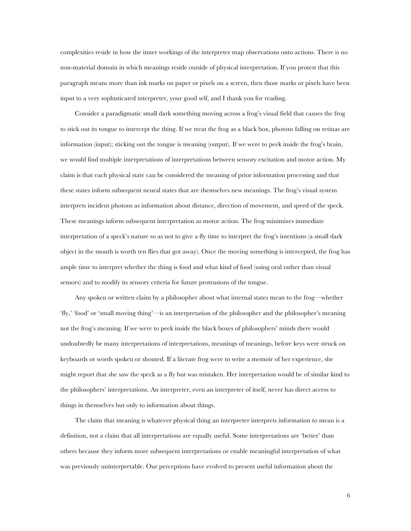complexities reside in how the inner workings of the interpreter map observations onto actions. There is no non-material domain in which meanings reside outside of physical interpretation. If you protest that this paragraph means more than ink marks on paper or pixels on a screen, then those marks or pixels have been input to a very sophisticated interpreter, your good self, and I thank you for reading.

Consider a paradigmatic small dark something moving across a frog's visual field that causes the frog to stick out its tongue to intercept the thing. If we treat the frog as a black box, photons falling on retinas are information (input); sticking out the tongue is meaning (output). If we were to peek inside the frog's brain, we would find multiple interpretations of interpretations between sensory excitation and motor action. My claim is that each physical state can be considered the meaning of prior information processing and that these states inform subsequent neural states that are themselves new meanings. The frog's visual system interprets incident photons as information about distance, direction of movement, and speed of the speck. These meanings inform subsequent interpretation as motor action. The frog minimizes immediate interpretation of a speck's nature so as not to give a fly time to interpret the frog's intentions (a small dark object in the mouth is worth ten flies that got away). Once the moving something is intercepted, the frog has ample time to interpret whether the thing is food and what kind of food (using oral rather than visual sensors) and to modify its sensory criteria for future protrusions of the tongue.

Any spoken or written claim by a philosopher about what internal states mean to the frog—whether 'fly,' 'food' or 'small moving thing'—is an interpretation of the philosopher and the philosopher's meaning not the frog's meaning. If we were to peek inside the black boxes of philosophers' minds there would undoubtedly be many interpretations of interpretations, meanings of meanings, before keys were struck on keyboards or words spoken or shouted. If a literate frog were to write a memoir of her experience, she might report that she saw the speck as a fly but was mistaken. Her interpretation would be of similar kind to the philosophers' interpretations. An interpreter, even an interpreter of itself, never has direct access to things in themselves but only to information about things.

The claim that meaning is whatever physical thing an interpreter interprets information to mean is a definition, not a claim that all interpretations are equally useful. Some interpretations are 'better' than others because they inform more subsequent interpretations or enable meaningful interpretation of what was previously uninterpretable. Our perceptions have evolved to present useful information about the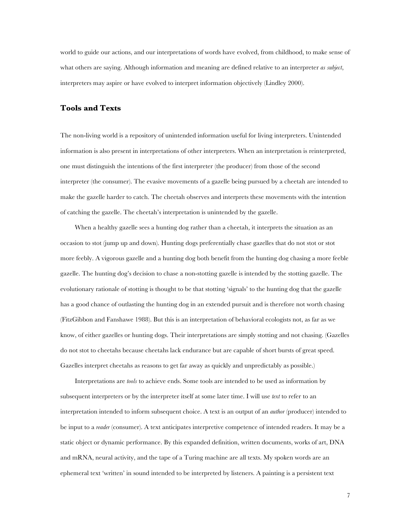world to guide our actions, and our interpretations of words have evolved, from childhood, to make sense of what others are saying. Although information and meaning are defined relative to an interpreter *as subject*, interpreters may aspire or have evolved to interpret information objectively (Lindley 2000).

## **Tools and Texts**

The non-living world is a repository of unintended information useful for living interpreters. Unintended information is also present in interpretations of other interpreters. When an interpretation is reinterpreted, one must distinguish the intentions of the first interpreter (the producer) from those of the second interpreter (the consumer). The evasive movements of a gazelle being pursued by a cheetah are intended to make the gazelle harder to catch. The cheetah observes and interprets these movements with the intention of catching the gazelle. The cheetah's interpretation is unintended by the gazelle.

When a healthy gazelle sees a hunting dog rather than a cheetah, it interprets the situation as an occasion to stot (jump up and down). Hunting dogs preferentially chase gazelles that do not stot or stot more feebly. A vigorous gazelle and a hunting dog both benefit from the hunting dog chasing a more feeble gazelle. The hunting dog's decision to chase a non-stotting gazelle is intended by the stotting gazelle. The evolutionary rationale of stotting is thought to be that stotting 'signals' to the hunting dog that the gazelle has a good chance of outlasting the hunting dog in an extended pursuit and is therefore not worth chasing (FitzGibbon and Fanshawe 1988). But this is an interpretation of behavioral ecologists not, as far as we know, of either gazelles or hunting dogs. Their interpretations are simply stotting and not chasing. (Gazelles do not stot to cheetahs because cheetahs lack endurance but are capable of short bursts of great speed. Gazelles interpret cheetahs as reasons to get far away as quickly and unpredictably as possible.)

Interpretations are *tools* to achieve ends. Some tools are intended to be used as information by subsequent interpreters or by the interpreter itself at some later time. I will use *text* to refer to an interpretation intended to inform subsequent choice. A text is an output of an *author* (producer) intended to be input to a *reader* (consumer). A text anticipates interpretive competence of intended readers. It may be a static object or dynamic performance. By this expanded definition, written documents, works of art, DNA and mRNA, neural activity, and the tape of a Turing machine are all texts. My spoken words are an ephemeral text 'written' in sound intended to be interpreted by listeners. A painting is a persistent text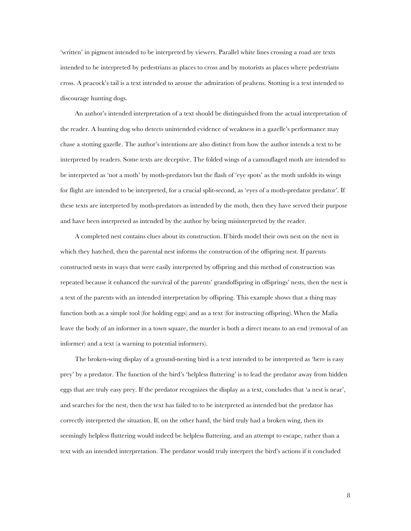'written' in pigment intended to be interpreted by viewers. Parallel white lines crossing a road are texts intended to be interpreted by pedestrians as places to cross and by motorists as places where pedestrians cross. A peacock's tail is a text intended to arouse the admiration of peahens. Stotting is a text intended to discourage hunting dogs.

An author's intended interpretation of a text should be distinguished from the actual interpretation of the reader. A hunting dog who detects unintended evidence of weakness in a gazelle's performance may chase a stotting gazelle. The author's intentions are also distinct from how the author intends a text to be interpreted by readers. Some texts are deceptive. The folded wings of a camouflaged moth are intended to be interpreted as 'not a moth' by moth-predators but the flash of 'eye spots' as the moth unfolds its wings for flight are intended to be interpreted, for a crucial split-second, as 'eyes of a moth-predator predator'. If these texts are interpreted by moth-predators as intended by the moth, then they have served their purpose and have been interpreted as intended by the author by being misinterpreted by the reader.

A completed nest contains clues about its construction. If birds model their own nest on the nest in which they hatched, then the parental nest informs the construction of the offspring nest. If parents constructed nests in ways that were easily interpreted by offspring and this method of construction was repeated because it enhanced the survival of the parents' grandoffspring in offsprings' nests, then the nest is a text of the parents with an intended interpretation by offspring. This example shows that a thing may function both as a simple tool (for holding eggs) and as a text (for instructing offspring). When the Mafia leave the body of an informer in a town square, the murder is both a direct means to an end (removal of an informer) and a text (a warning to potential informers).

The broken-wing display of a ground-nesting bird is a text intended to be interpreted as 'here is easy prey' by a predator. The function of the bird's 'helpless fluttering' is to lead the predator away from hidden eggs that are truly easy prey. If the predator recognizes the display as a text, concludes that 'a nest is near', and searches for the nest, then the text has failed to to be interpreted as intended but the predator has correctly interpreted the situation. If, on the other hand, the bird truly had a broken wing, then its seemingly helpless fluttering would indeed be helpless fluttering, and an attempt to escape, rather than a text with an intended interpretation. The predator would truly interpret the bird's actions if it concluded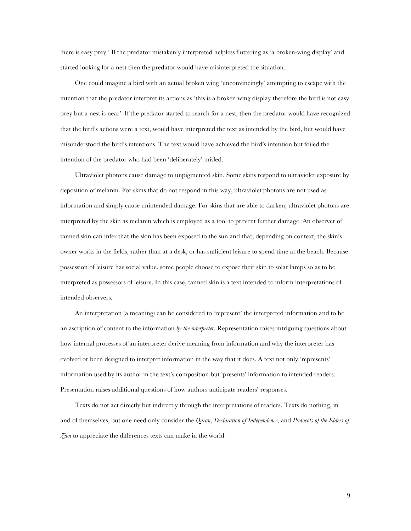'here is easy prey.' If the predator mistakenly interpreted helpless fluttering as 'a broken-wing display' and started looking for a nest then the predator would have misinterpreted the situation.

One could imagine a bird with an actual broken wing 'unconvincingly' attempting to escape with the intention that the predator interpret its actions as 'this is a broken wing display therefore the bird is not easy prey but a nest is near'. If the predator started to search for a nest, then the predator would have recognized that the bird's actions were a text, would have interpreted the text as intended by the bird, but would have misunderstood the bird's intentions. The text would have achieved the bird's intention but foiled the intention of the predator who had been 'deliberately' misled.

Ultraviolet photons cause damage to unpigmented skin. Some skins respond to ultraviolet exposure by deposition of melanin. For skins that do not respond in this way, ultraviolet photons are not used as information and simply cause unintended damage. For skins that are able to darken, ultraviolet photons are interpreted by the skin as melanin which is employed as a tool to prevent further damage. An observer of tanned skin can infer that the skin has been exposed to the sun and that, depending on context, the skin's owner works in the fields, rather than at a desk, or has sufficient leisure to spend time at the beach. Because possession of leisure has social value, some people choose to expose their skin to solar lamps so as to be interpreted as possessors of leisure. In this case, tanned skin is a text intended to inform interpretations of intended observers.

An interpretation (a meaning) can be considered to 'represent' the interpreted information and to be an ascription of content to the information *by the interpreter*. Representation raises intriguing questions about how internal processes of an interpreter derive meaning from information and why the interpreter has evolved or been designed to interpret information in the way that it does. A text not only 'represents' information used by its author in the text's composition but 'presents' information to intended readers. Presentation raises additional questions of how authors anticipate readers' responses.

Texts do not act directly but indirectly through the interpretations of readers. Texts do nothing, in and of themselves, but one need only consider the *Quran*, *Declaration of Independence*, and *Protocols of the Elders of Zion* to appreciate the differences texts can make in the world.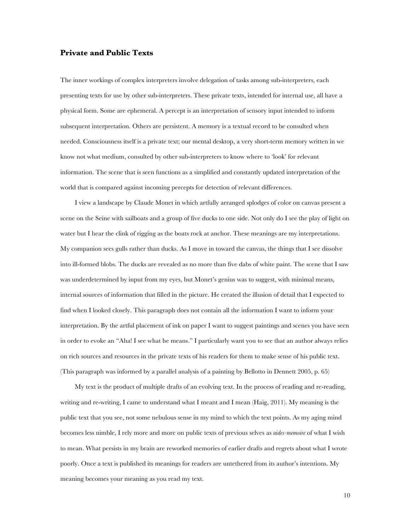## **Private and Public Texts**

The inner workings of complex interpreters involve delegation of tasks among sub-interpreters, each presenting texts for use by other sub-interpreters. These private texts, intended for internal use, all have a physical form. Some are ephemeral. A percept is an interpretation of sensory input intended to inform subsequent interpretation. Others are persistent. A memory is a textual record to be consulted when needed. Consciousness itself is a private text; our mental desktop, a very short-term memory written in we know not what medium, consulted by other sub-interpreters to know where to 'look' for relevant information. The scene that is seen functions as a simplified and constantly updated interpretation of the world that is compared against incoming percepts for detection of relevant differences.

I view a landscape by Claude Monet in which artfully arranged splodges of color on canvas present a scene on the Seine with sailboats and a group of five ducks to one side. Not only do I see the play of light on water but I hear the clink of rigging as the boats rock at anchor. These meanings are my interpretations. My companion sees gulls rather than ducks. As I move in toward the canvas, the things that I see dissolve into ill-formed blobs. The ducks are revealed as no more than five dabs of white paint. The scene that I saw was underdetermined by input from my eyes, but Monet's genius was to suggest, with minimal means, internal sources of information that filled in the picture. He created the illusion of detail that I expected to find when I looked closely. This paragraph does not contain all the information I want to inform your interpretation. By the artful placement of ink on paper I want to suggest paintings and scenes you have seen in order to evoke an "Aha! I see what he means." I particularly want you to see that an author always relies on rich sources and resources in the private texts of his readers for them to make sense of his public text. (This paragraph was informed by a parallel analysis of a painting by Bellotto in Dennett 2005, p. 65)

My text is the product of multiple drafts of an evolving text. In the process of reading and re-reading, writing and re-writing, I came to understand what I meant and I mean (Haig, 2011). My meaning is the public text that you see, not some nebulous sense in my mind to which the text points. As my aging mind becomes less nimble, I rely more and more on public texts of previous selves as *aides-memoire* of what I wish to mean. What persists in my brain are reworked memories of earlier drafts and regrets about what I wrote poorly. Once a text is published its meanings for readers are untethered from its author's intentions. My meaning becomes your meaning as you read my text.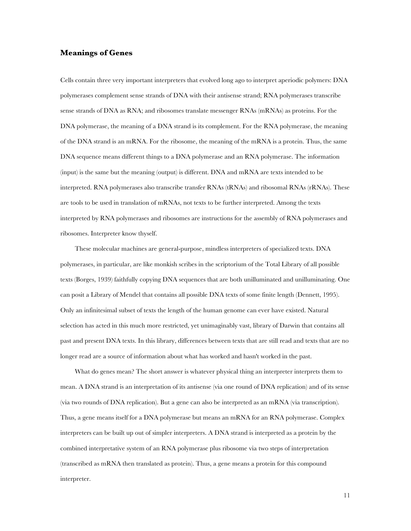### **Meanings of Genes**

Cells contain three very important interpreters that evolved long ago to interpret aperiodic polymers: DNA polymerases complement sense strands of DNA with their antisense strand; RNA polymerases transcribe sense strands of DNA as RNA; and ribosomes translate messenger RNAs (mRNAs) as proteins. For the DNA polymerase, the meaning of a DNA strand is its complement. For the RNA polymerase, the meaning of the DNA strand is an mRNA. For the ribosome, the meaning of the mRNA is a protein. Thus, the same DNA sequence means different things to a DNA polymerase and an RNA polymerase. The information (input) is the same but the meaning (output) is different. DNA and mRNA are texts intended to be interpreted. RNA polymerases also transcribe transfer RNAs (tRNAs) and ribosomal RNAs (rRNAs). These are tools to be used in translation of mRNAs, not texts to be further interpreted. Among the texts interpreted by RNA polymerases and ribosomes are instructions for the assembly of RNA polymerases and ribosomes. Interpreter know thyself.

These molecular machines are general-purpose, mindless interpreters of specialized texts. DNA polymerases, in particular, are like monkish scribes in the scriptorium of the Total Library of all possible texts (Borges, 1939) faithfully copying DNA sequences that are both unilluminated and unilluminating. One can posit a Library of Mendel that contains all possible DNA texts of some finite length (Dennett, 1995). Only an infinitesimal subset of texts the length of the human genome can ever have existed. Natural selection has acted in this much more restricted, yet unimaginably vast, library of Darwin that contains all past and present DNA texts. In this library, differences between texts that are still read and texts that are no longer read are a source of information about what has worked and hasn't worked in the past.

What do genes mean? The short answer is whatever physical thing an interpreter interprets them to mean. A DNA strand is an interpretation of its antisense (via one round of DNA replication) and of its sense (via two rounds of DNA replication). But a gene can also be interpreted as an mRNA (via transcription). Thus, a gene means itself for a DNA polymerase but means an mRNA for an RNA polymerase. Complex interpreters can be built up out of simpler interpreters. A DNA strand is interpreted as a protein by the combined interpretative system of an RNA polymerase plus ribosome via two steps of interpretation (transcribed as mRNA then translated as protein). Thus, a gene means a protein for this compound interpreter.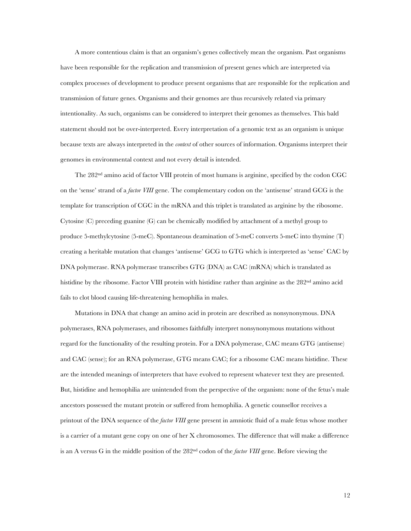A more contentious claim is that an organism's genes collectively mean the organism. Past organisms have been responsible for the replication and transmission of present genes which are interpreted via complex processes of development to produce present organisms that are responsible for the replication and transmission of future genes. Organisms and their genomes are thus recursively related via primary intentionality. As such, organisms can be considered to interpret their genomes as themselves. This bald statement should not be over-interpreted. Every interpretation of a genomic text as an organism is unique because texts are always interpreted in the *context* of other sources of information. Organisms interpret their genomes in environmental context and not every detail is intended.

The 282nd amino acid of factor VIII protein of most humans is arginine, specified by the codon CGC on the 'sense' strand of a *factor VIII* gene. The complementary codon on the 'antisense' strand GCG is the template for transcription of CGC in the mRNA and this triplet is translated as arginine by the ribosome. Cytosine (C) preceding guanine (G) can be chemically modified by attachment of a methyl group to produce 5-methylcytosine (5-meC). Spontaneous deamination of 5-meC converts 5-meC into thymine (T) creating a heritable mutation that changes 'antisense' GCG to GTG which is interpreted as 'sense' CAC by DNA polymerase. RNA polymerase transcribes GTG (DNA) as CAC (mRNA) which is translated as histidine by the ribosome. Factor VIII protein with histidine rather than arginine as the 282<sup>nd</sup> amino acid fails to clot blood causing life-threatening hemophilia in males.

Mutations in DNA that change an amino acid in protein are described as nonsynonymous. DNA polymerases, RNA polymerases, and ribosomes faithfully interpret nonsynonymous mutations without regard for the functionality of the resulting protein. For a DNA polymerase, CAC means GTG (antisense) and CAC (sense); for an RNA polymerase, GTG means CAC; for a ribosome CAC means histidine. These are the intended meanings of interpreters that have evolved to represent whatever text they are presented. But, histidine and hemophilia are unintended from the perspective of the organism: none of the fetus's male ancestors possessed the mutant protein or suffered from hemophilia. A genetic counsellor receives a printout of the DNA sequence of the *factor VIII* gene present in amniotic fluid of a male fetus whose mother is a carrier of a mutant gene copy on one of her X chromosomes. The difference that will make a difference is an A versus G in the middle position of the 282nd codon of the *factor VIII* gene. Before viewing the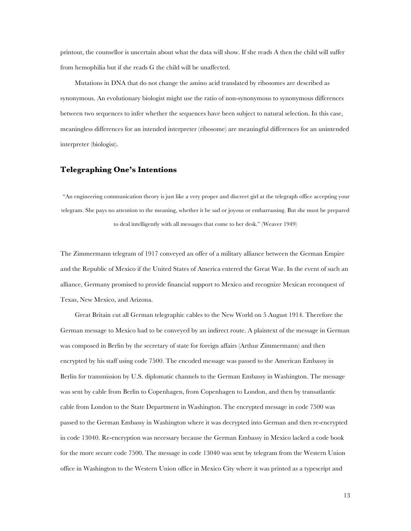printout, the counsellor is uncertain about what the data will show. If she reads A then the child will suffer from hemophilia but if she reads G the child will be unaffected.

Mutations in DNA that do not change the amino acid translated by ribosomes are described as synonymous. An evolutionary biologist might use the ratio of non-synonymous to synonymous differences between two sequences to infer whether the sequences have been subject to natural selection. In this case, meaningless differences for an intended interpreter (ribosome) are meaningful differences for an unintended interpreter (biologist).

### **Telegraphing One's Intentions**

"An engineering communication theory is just like a very proper and discreet girl at the telegraph office accepting your telegram. She pays no attention to the meaning, whether it be sad or joyous or embarrassing. But she must be prepared to deal intelligently with all messages that come to her desk." (Weaver 1949)

The Zimmermann telegram of 1917 conveyed an offer of a military alliance between the German Empire and the Republic of Mexico if the United States of America entered the Great War. In the event of such an alliance, Germany promised to provide financial support to Mexico and recognize Mexican reconquest of Texas, New Mexico, and Arizona.

Great Britain cut all German telegraphic cables to the New World on 5 August 1914. Therefore the German message to Mexico had to be conveyed by an indirect route. A plaintext of the message in German was composed in Berlin by the secretary of state for foreign affairs (Arthur Zimmermann) and then encrypted by his staff using code 7500. The encoded message was passed to the American Embassy in Berlin for transmission by U.S. diplomatic channels to the German Embassy in Washington. The message was sent by cable from Berlin to Copenhagen, from Copenhagen to London, and then by transatlantic cable from London to the State Department in Washington. The encrypted message in code 7500 was passed to the German Embassy in Washington where it was decrypted into German and then re-encrypted in code 13040. Re-encryption was necessary because the German Embassy in Mexico lacked a code book for the more secure code 7500. The message in code 13040 was sent by telegram from the Western Union office in Washington to the Western Union office in Mexico City where it was printed as a typescript and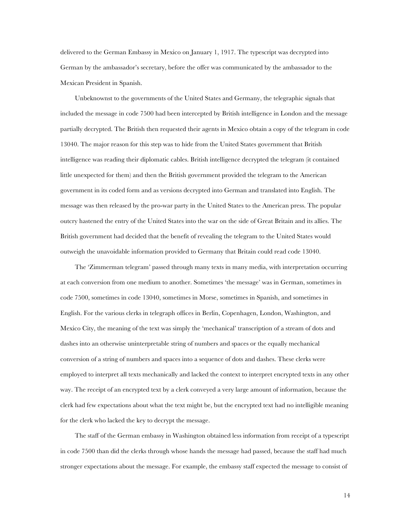delivered to the German Embassy in Mexico on January 1, 1917. The typescript was decrypted into German by the ambassador's secretary, before the offer was communicated by the ambassador to the Mexican President in Spanish.

Unbeknownst to the governments of the United States and Germany, the telegraphic signals that included the message in code 7500 had been intercepted by British intelligence in London and the message partially decrypted. The British then requested their agents in Mexico obtain a copy of the telegram in code 13040. The major reason for this step was to hide from the United States government that British intelligence was reading their diplomatic cables. British intelligence decrypted the telegram (it contained little unexpected for them) and then the British government provided the telegram to the American government in its coded form and as versions decrypted into German and translated into English. The message was then released by the pro-war party in the United States to the American press. The popular outcry hastened the entry of the United States into the war on the side of Great Britain and its allies. The British government had decided that the benefit of revealing the telegram to the United States would outweigh the unavoidable information provided to Germany that Britain could read code 13040.

The 'Zimmerman telegram' passed through many texts in many media, with interpretation occurring at each conversion from one medium to another. Sometimes 'the message' was in German, sometimes in code 7500, sometimes in code 13040, sometimes in Morse, sometimes in Spanish, and sometimes in English. For the various clerks in telegraph offices in Berlin, Copenhagen, London, Washington, and Mexico City, the meaning of the text was simply the 'mechanical' transcription of a stream of dots and dashes into an otherwise uninterpretable string of numbers and spaces or the equally mechanical conversion of a string of numbers and spaces into a sequence of dots and dashes. These clerks were employed to interpret all texts mechanically and lacked the context to interpret encrypted texts in any other way. The receipt of an encrypted text by a clerk conveyed a very large amount of information, because the clerk had few expectations about what the text might be, but the encrypted text had no intelligible meaning for the clerk who lacked the key to decrypt the message.

The staff of the German embassy in Washington obtained less information from receipt of a typescript in code 7500 than did the clerks through whose hands the message had passed, because the staff had much stronger expectations about the message. For example, the embassy staff expected the message to consist of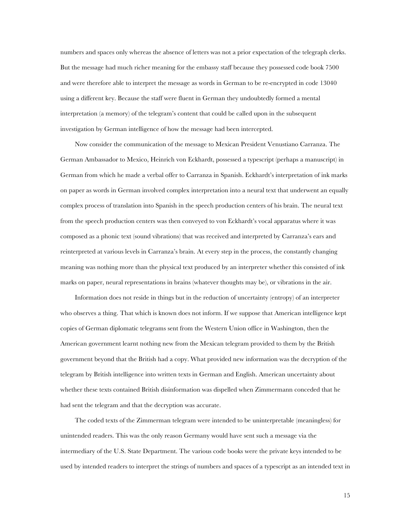numbers and spaces only whereas the absence of letters was not a prior expectation of the telegraph clerks. But the message had much richer meaning for the embassy staff because they possessed code book 7500 and were therefore able to interpret the message as words in German to be re-encrypted in code 13040 using a different key. Because the staff were fluent in German they undoubtedly formed a mental interpretation (a memory) of the telegram's content that could be called upon in the subsequent investigation by German intelligence of how the message had been intercepted.

Now consider the communication of the message to Mexican President Venustiano Carranza. The German Ambassador to Mexico, Heinrich von Eckhardt, possessed a typescript (perhaps a manuscript) in German from which he made a verbal offer to Carranza in Spanish. Eckhardt's interpretation of ink marks on paper as words in German involved complex interpretation into a neural text that underwent an equally complex process of translation into Spanish in the speech production centers of his brain. The neural text from the speech production centers was then conveyed to von Eckhardt's vocal apparatus where it was composed as a phonic text (sound vibrations) that was received and interpreted by Carranza's ears and reinterpreted at various levels in Carranza's brain. At every step in the process, the constantly changing meaning was nothing more than the physical text produced by an interpreter whether this consisted of ink marks on paper, neural representations in brains (whatever thoughts may be), or vibrations in the air.

Information does not reside in things but in the reduction of uncertainty (entropy) of an interpreter who observes a thing. That which is known does not inform. If we suppose that American intelligence kept copies of German diplomatic telegrams sent from the Western Union office in Washington, then the American government learnt nothing new from the Mexican telegram provided to them by the British government beyond that the British had a copy. What provided new information was the decryption of the telegram by British intelligence into written texts in German and English. American uncertainty about whether these texts contained British disinformation was dispelled when Zimmermann conceded that he had sent the telegram and that the decryption was accurate.

The coded texts of the Zimmerman telegram were intended to be uninterpretable (meaningless) for unintended readers. This was the only reason Germany would have sent such a message via the intermediary of the U.S. State Department. The various code books were the private keys intended to be used by intended readers to interpret the strings of numbers and spaces of a typescript as an intended text in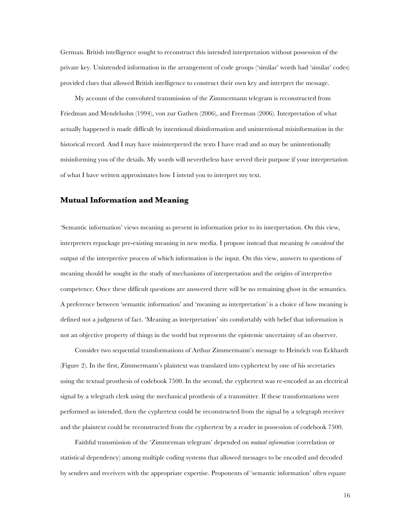German. British intelligence sought to reconstruct this intended interpretation without possession of the private key. Unintended information in the arrangement of code groups ('similar' words had 'similar' codes) provided clues that allowed British intelligence to construct their own key and interpret the message.

My account of the convoluted transmission of the Zimmermann telegram is reconstructed from Friedman and Mendelsohn (1994), von zur Gathen (2006), and Freeman (2006). Interpretation of what actually happened is made difficult by intentional disinformation and unintentional misinformation in the historical record. And I may have misinterpreted the texts I have read and so may be unintentionally misinforming you of the details. My words will nevertheless have served their purpose if your interpretation of what I have written approximates how I intend you to interpret my text.

#### **Mutual Information and Meaning**

'Semantic information' views meaning as present in information prior to its interpretation. On this view, interpreters repackage pre-existing meaning in new media. I propose instead that meaning *be considered* the output of the interpretive process of which information is the input. On this view, answers to questions of meaning should be sought in the study of mechanisms of interpretation and the origins of interpretive competence. Once these difficult questions are answered there will be no remaining ghost in the semantics. A preference between 'semantic information' and 'meaning as interpretation' is a choice of how meaning is defined not a judgment of fact. 'Meaning as interpretation' sits comfortably with belief that information is not an objective property of things in the world but represents the epistemic uncertainty of an observer.

Consider two sequential transformations of Arthur Zimmermann's message to Heinrich von Eckhardt (Figure 2). In the first, Zimmermann's plaintext was translated into cyphertext by one of his secretaries using the textual prosthesis of codebook 7500. In the second, the cyphertext was re-encoded as an electrical signal by a telegrath clerk using the mechanical prosthesis of a transmitter. If these transformations were performed as intended, then the cyphertext could be reconstructed from the signal by a telegraph receiver and the plaintext could be reconstructed from the cyphertext by a reader in possession of codebook 7500.

Faithful transmission of the 'Zimmerman telegram' depended on *mutual information* (correlation or statistical dependency) among multiple coding systems that allowed messages to be encoded and decoded by senders and receivers with the appropriate expertise. Proponents of 'semantic information' often equate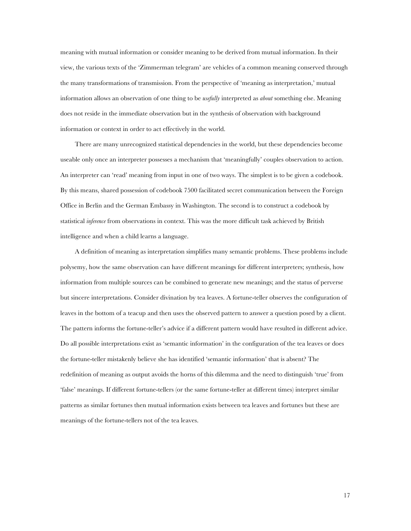meaning with mutual information or consider meaning to be derived from mutual information. In their view, the various texts of the 'Zimmerman telegram' are vehicles of a common meaning conserved through the many transformations of transmission. From the perspective of 'meaning as interpretation,' mutual information allows an observation of one thing to be *usefully* interpreted as *about* something else. Meaning does not reside in the immediate observation but in the synthesis of observation with background information or context in order to act effectively in the world.

There are many unrecognized statistical dependencies in the world, but these dependencies become useable only once an interpreter possesses a mechanism that 'meaningfully' couples observation to action. An interpreter can 'read' meaning from input in one of two ways. The simplest is to be given a codebook. By this means, shared possession of codebook 7500 facilitated secret communication between the Foreign Office in Berlin and the German Embassy in Washington. The second is to construct a codebook by statistical *inference* from observations in context. This was the more difficult task achieved by British intelligence and when a child learns a language.

A definition of meaning as interpretation simplifies many semantic problems. These problems include polysemy, how the same observation can have different meanings for different interpreters; synthesis, how information from multiple sources can be combined to generate new meanings; and the status of perverse but sincere interpretations. Consider divination by tea leaves. A fortune-teller observes the configuration of leaves in the bottom of a teacup and then uses the observed pattern to answer a question posed by a client. The pattern informs the fortune-teller's advice if a different pattern would have resulted in different advice. Do all possible interpretations exist as 'semantic information' in the configuration of the tea leaves or does the fortune-teller mistakenly believe she has identified 'semantic information' that is absent? The redefinition of meaning as output avoids the horns of this dilemma and the need to distinguish 'true' from 'false' meanings. If different fortune-tellers (or the same fortune-teller at different times) interpret similar patterns as similar fortunes then mutual information exists between tea leaves and fortunes but these are meanings of the fortune-tellers not of the tea leaves.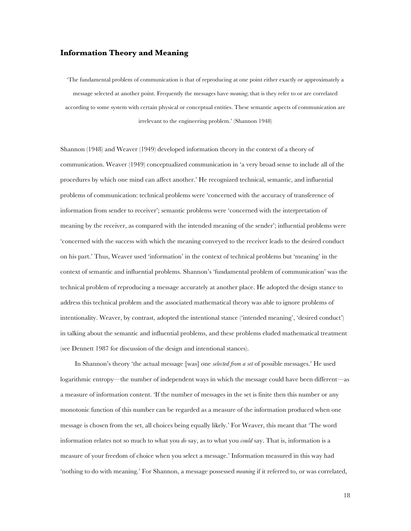#### **Information Theory and Meaning**

'The fundamental problem of communication is that of reproducing at one point either exactly or approximately a message selected at another point. Frequently the messages have *meaning*; that is they refer to or are correlated according to some system with certain physical or conceptual entities. These semantic aspects of communication are irrelevant to the engineering problem.' (Shannon 1948)

Shannon (1948) and Weaver (1949) developed information theory in the context of a theory of communication. Weaver (1949) conceptualized communication in 'a very broad sense to include all of the procedures by which one mind can affect another.' He recognized technical, semantic, and influential problems of communication: technical problems were 'concerned with the accuracy of transference of information from sender to receiver'; semantic problems were 'concerned with the interpretation of meaning by the receiver, as compared with the intended meaning of the sender'; influential problems were 'concerned with the success with which the meaning conveyed to the receiver leads to the desired conduct on his part.' Thus, Weaver used 'information' in the context of technical problems but 'meaning' in the context of semantic and influential problems. Shannon's 'fundamental problem of communication' was the technical problem of reproducing a message accurately at another place. He adopted the design stance to address this technical problem and the associated mathematical theory was able to ignore problems of intentionality. Weaver, by contrast, adopted the intentional stance ('intended meaning', 'desired conduct') in talking about the semantic and influential problems, and these problems eluded mathematical treatment (see Dennett 1987 for discussion of the design and intentional stances).

In Shannon's theory 'the actual message [was] one *selected from a set* of possible messages.' He used logarithmic entropy—the number of independent ways in which the message could have been different—as a measure of information content. 'If the number of messages in the set is finite then this number or any monotonic function of this number can be regarded as a measure of the information produced when one message is chosen from the set, all choices being equally likely.' For Weaver, this meant that 'The word information relates not so much to what you *do* say, as to what you *could* say. That is, information is a measure of your freedom of choice when you select a message.' Information measured in this way had 'nothing to do with meaning.' For Shannon, a message possessed *meaning* if it referred to, or was correlated,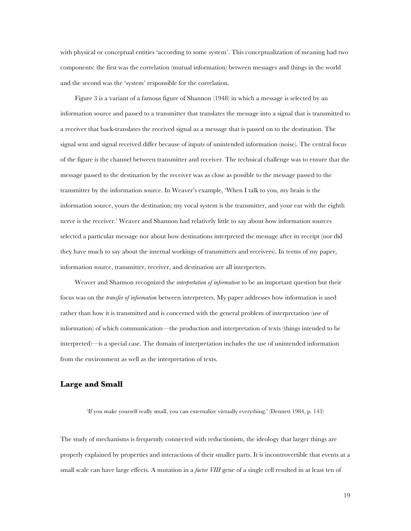with physical or conceptual entities 'according to some system'. This conceptualization of meaning had two components: the first was the correlation (mutual information) between messages and things in the world and the second was the 'system' responsible for the correlation.

Figure 3 is a variant of a famous figure of Shannon (1948) in which a message is selected by an information source and passed to a transmitter that translates the message into a signal that is transmitted to a receiver that back-translates the received signal as a message that is passed on to the destination. The signal sent and signal received differ because of inputs of unintended information (noise). The central focus of the figure is the channel between transmitter and receiver. The technical challenge was to ensure that the message passed to the destination by the receiver was as close as possible to the message passed to the transmitter by the information source. In Weaver's example, 'When I talk to you, my brain is the information source, yours the destination; my vocal system is the transmitter, and your ear with the eighth nerve is the receiver.' Weaver and Shannon had relatively little to say about how information sources selected a particular message nor about how destinations interpreted the message after its receipt (nor did they have much to say about the internal workings of transmitters and receivers). In terms of my paper, information source, transmitter, receiver, and destination are all interpreters.

Weaver and Shannon recognized the *interpretation of information* to be an important question but their focus was on the *transfer of information* between interpreters. My paper addresses how information is used rather than how it is transmitted and is concerned with the general problem of interpretation (use of information) of which communication—the production and interpretation of texts (things intended to be interpreted)—is a special case. The domain of interpretation includes the use of unintended information from the environment as well as the interpretation of texts.

#### **Large and Small**

'If you make yourself really small, you can externalize virtually everything.' (Dennett 1984, p. 143)

The study of mechanisms is frequently connected with reductionism, the ideology that larger things are properly explained by properties and interactions of their smaller parts. It is incontrovertible that events at a small scale can have large effects. A mutation in a *factor VIII* gene of a single cell resulted in at least ten of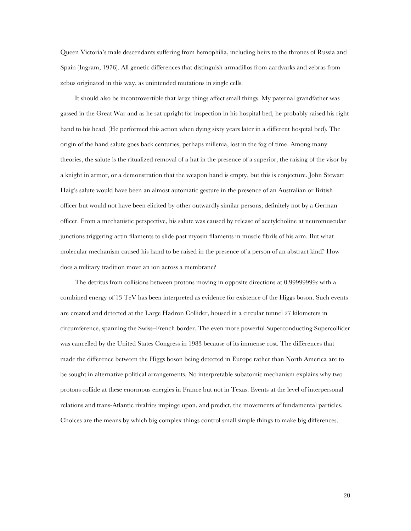Queen Victoria's male descendants suffering from hemophilia, including heirs to the thrones of Russia and Spain (Ingram, 1976). All genetic differences that distinguish armadillos from aardvarks and zebras from zebus originated in this way, as unintended mutations in single cells.

It should also be incontrovertible that large things affect small things. My paternal grandfather was gassed in the Great War and as he sat upright for inspection in his hospital bed, he probably raised his right hand to his head. (He performed this action when dying sixty years later in a different hospital bed). The origin of the hand salute goes back centuries, perhaps millenia, lost in the fog of time. Among many theories, the salute is the ritualized removal of a hat in the presence of a superior, the raising of the visor by a knight in armor, or a demonstration that the weapon hand is empty, but this is conjecture. John Stewart Haig's salute would have been an almost automatic gesture in the presence of an Australian or British officer but would not have been elicited by other outwardly similar persons; definitely not by a German officer. From a mechanistic perspective, his salute was caused by release of acetylcholine at neuromuscular junctions triggering actin filaments to slide past myosin filaments in muscle fibrils of his arm. But what molecular mechanism caused his hand to be raised in the presence of a person of an abstract kind? How does a military tradition move an ion across a membrane?

The detritus from collisions between protons moving in opposite directions at 0.99999999*c* with a combined energy of 13 TeV has been interpreted as evidence for existence of the Higgs boson. Such events are created and detected at the Large Hadron Collider, housed in a circular tunnel 27 kilometers in circumference, spanning the Swiss–French border. The even more powerful Superconducting Supercollider was cancelled by the United States Congress in 1983 because of its immense cost. The differences that made the difference between the Higgs boson being detected in Europe rather than North America are to be sought in alternative political arrangements. No interpretable subatomic mechanism explains why two protons collide at these enormous energies in France but not in Texas. Events at the level of interpersonal relations and trans-Atlantic rivalries impinge upon, and predict, the movements of fundamental particles. Choices are the means by which big complex things control small simple things to make big differences.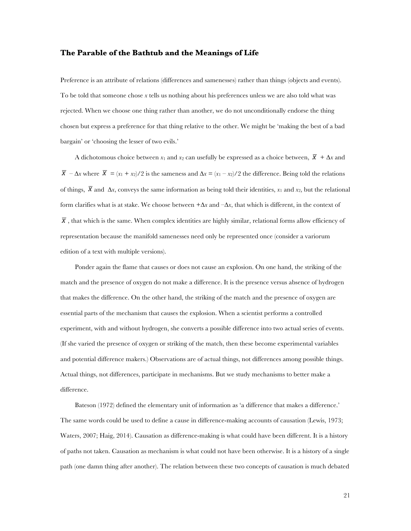#### **The Parable of the Bathtub and the Meanings of Life**

Preference is an attribute of relations (differences and samenesses) rather than things (objects and events). To be told that someone chose *x* tells us nothing about his preferences unless we are also told what was rejected. When we choose one thing rather than another, we do not unconditionally endorse the thing chosen but express a preference for that thing relative to the other. We might be 'making the best of a bad bargain' or 'choosing the lesser of two evils.'

A dichotomous choice between  $x_1$  and  $x_2$  can usefully be expressed as a choice between,  $\overline{X}$  +  $\Delta x$  and  $\overline{X}$  – ∆*x* where  $\overline{X}$  = (*x*<sub>1</sub> + *x*<sub>2</sub>)/2 is the sameness and ∆*x* = (*x*<sub>1</sub> – *x*<sub>2</sub>)/2 the difference. Being told the relations of things, *x* and ∆*x*, conveys the same information as being told their identities, *x*<sup>1</sup> and *x*2, but the relational form clarifies what is at stake. We choose between +∆*x* and –∆*x*, that which is different, in the context of  $\overline{X}$ , that which is the same. When complex identities are highly similar, relational forms allow efficiency of representation because the manifold samenesses need only be represented once (consider a variorum edition of a text with multiple versions).

Ponder again the flame that causes or does not cause an explosion. On one hand, the striking of the match and the presence of oxygen do not make a difference. It is the presence versus absence of hydrogen that makes the difference. On the other hand, the striking of the match and the presence of oxygen are essential parts of the mechanism that causes the explosion. When a scientist performs a controlled experiment, with and without hydrogen, she converts a possible difference into two actual series of events. (If she varied the presence of oxygen or striking of the match, then these become experimental variables and potential difference makers.) Observations are of actual things, not differences among possible things. Actual things, not differences, participate in mechanisms. But we study mechanisms to better make a difference.

Bateson (1972) defined the elementary unit of information as 'a difference that makes a difference.' The same words could be used to define a cause in difference-making accounts of causation (Lewis, 1973; Waters, 2007; Haig, 2014). Causation as difference-making is what could have been different. It is a history of paths not taken. Causation as mechanism is what could not have been otherwise. It is a history of a single path (one damn thing after another). The relation between these two concepts of causation is much debated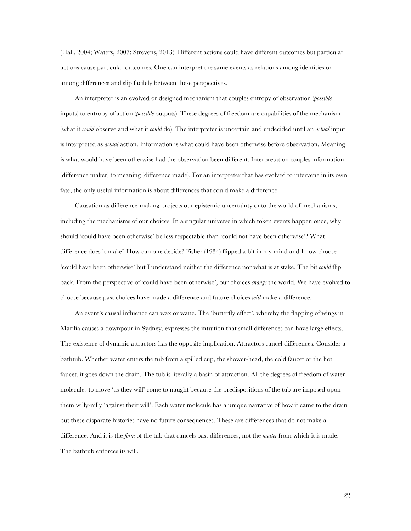(Hall, 2004; Waters, 2007; Strevens, 2013). Different actions could have different outcomes but particular actions cause particular outcomes. One can interpret the same events as relations among identities or among differences and slip facilely between these perspectives.

An interpreter is an evolved or designed mechanism that couples entropy of observation (*possible* inputs) to entropy of action (*possible* outputs). These degrees of freedom are capabilities of the mechanism (what it *could* observe and what it *could* do). The interpreter is uncertain and undecided until an *actual* input is interpreted as *actual* action. Information is what could have been otherwise before observation. Meaning is what would have been otherwise had the observation been different. Interpretation couples information (difference maker) to meaning (difference made). For an interpreter that has evolved to intervene in its own fate, the only useful information is about differences that could make a difference.

Causation as difference-making projects our epistemic uncertainty onto the world of mechanisms, including the mechanisms of our choices. In a singular universe in which token events happen once, why should 'could have been otherwise' be less respectable than 'could not have been otherwise'? What difference does it make? How can one decide? Fisher (1934) flipped a bit in my mind and I now choose 'could have been otherwise' but I understand neither the difference nor what is at stake. The bit *could* flip back. From the perspective of 'could have been otherwise', our choices *change* the world. We have evolved to choose because past choices have made a difference and future choices *will* make a difference.

An event's causal influence can wax or wane. The 'butterfly effect', whereby the flapping of wings in Marilia causes a downpour in Sydney, expresses the intuition that small differences can have large effects. The existence of dynamic attractors has the opposite implication. Attractors cancel differences. Consider a bathtub. Whether water enters the tub from a spilled cup, the shower-head, the cold faucet or the hot faucet, it goes down the drain. The tub is literally a basin of attraction. All the degrees of freedom of water molecules to move 'as they will' come to naught because the predispositions of the tub are imposed upon them willy-nilly 'against their will'. Each water molecule has a unique narrative of how it came to the drain but these disparate histories have no future consequences. These are differences that do not make a difference. And it is the *form* of the tub that cancels past differences, not the *matter* from which it is made. The bathtub enforces its will.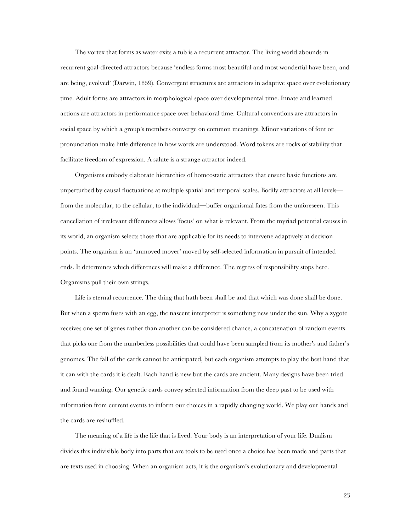The vortex that forms as water exits a tub is a recurrent attractor. The living world abounds in recurrent goal-directed attractors because 'endless forms most beautiful and most wonderful have been, and are being, evolved' (Darwin, 1859). Convergent structures are attractors in adaptive space over evolutionary time. Adult forms are attractors in morphological space over developmental time. Innate and learned actions are attractors in performance space over behavioral time. Cultural conventions are attractors in social space by which a group's members converge on common meanings. Minor variations of font or pronunciation make little difference in how words are understood. Word tokens are rocks of stability that facilitate freedom of expression. A salute is a strange attractor indeed.

Organisms embody elaborate hierarchies of homeostatic attractors that ensure basic functions are unperturbed by causal fluctuations at multiple spatial and temporal scales. Bodily attractors at all levels from the molecular, to the cellular, to the individual—buffer organismal fates from the unforeseen. This cancellation of irrelevant differences allows 'focus' on what is relevant. From the myriad potential causes in its world, an organism selects those that are applicable for its needs to intervene adaptively at decision points. The organism is an 'unmoved mover' moved by self-selected information in pursuit of intended ends. It determines which differences will make a difference. The regress of responsibility stops here. Organisms pull their own strings.

Life is eternal recurrence. The thing that hath been shall be and that which was done shall be done. But when a sperm fuses with an egg, the nascent interpreter is something new under the sun. Why a zygote receives one set of genes rather than another can be considered chance, a concatenation of random events that picks one from the numberless possibilities that could have been sampled from its mother's and father's genomes. The fall of the cards cannot be anticipated, but each organism attempts to play the best hand that it can with the cards it is dealt. Each hand is new but the cards are ancient. Many designs have been tried and found wanting. Our genetic cards convey selected information from the deep past to be used with information from current events to inform our choices in a rapidly changing world. We play our hands and the cards are reshuffled.

The meaning of a life is the life that is lived. Your body is an interpretation of your life. Dualism divides this indivisible body into parts that are tools to be used once a choice has been made and parts that are texts used in choosing. When an organism acts, it is the organism's evolutionary and developmental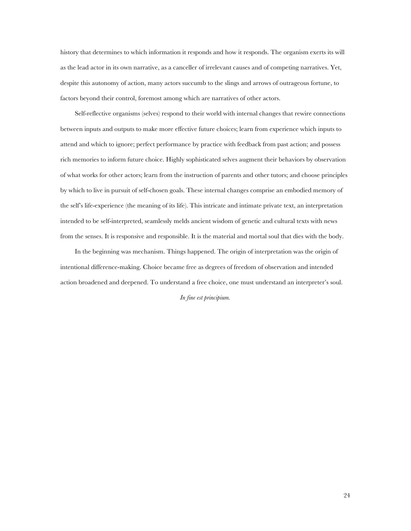history that determines to which information it responds and how it responds. The organism exerts its will as the lead actor in its own narrative, as a canceller of irrelevant causes and of competing narratives. Yet, despite this autonomy of action, many actors succumb to the slings and arrows of outrageous fortune, to factors beyond their control, foremost among which are narratives of other actors.

Self-reflective organisms (selves) respond to their world with internal changes that rewire connections between inputs and outputs to make more effective future choices; learn from experience which inputs to attend and which to ignore; perfect performance by practice with feedback from past action; and possess rich memories to inform future choice. Highly sophisticated selves augment their behaviors by observation of what works for other actors; learn from the instruction of parents and other tutors; and choose principles by which to live in pursuit of self-chosen goals. These internal changes comprise an embodied memory of the self's life-experience (the meaning of its life). This intricate and intimate private text, an interpretation intended to be self-interpreted, seamlessly melds ancient wisdom of genetic and cultural texts with news from the senses. It is responsive and responsible. It is the material and mortal soul that dies with the body.

In the beginning was mechanism. Things happened. The origin of interpretation was the origin of intentional difference-making. Choice became free as degrees of freedom of observation and intended action broadened and deepened. To understand a free choice, one must understand an interpreter's soul.

*In fine est principium.*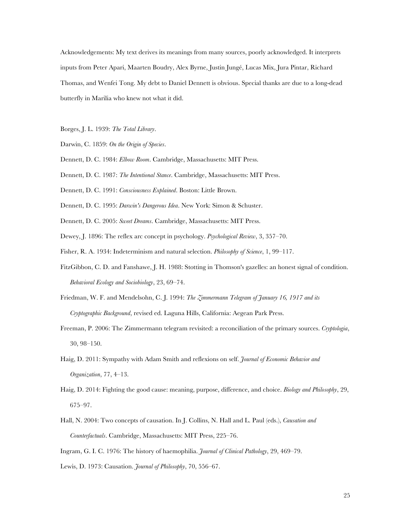Acknowledgements: My text derives its meanings from many sources, poorly acknowledged. It interprets inputs from Peter Apari, Maarten Boudry, Alex Byrne, Justin Jungé, Lucas Mix, Jura Pintar, Richard Thomas, and Wenfei Tong. My debt to Daniel Dennett is obvious. Special thanks are due to a long-dead butterfly in Marilia who knew not what it did.

- Borges, J. L. 1939: *The Total Library*.
- Darwin, C. 1859: *On the Origin of Species*.
- Dennett, D. C. 1984: *Elbow Room*. Cambridge, Massachusetts: MIT Press.
- Dennett, D. C. 1987: *The Intentional Stance*. Cambridge, Massachusetts: MIT Press.
- Dennett, D. C. 1991: *Consciousness Explained*. Boston: Little Brown.
- Dennett, D. C. 1995: *Darwin's Dangerous Idea*. New York: Simon & Schuster.

Dennett, D. C. 2005: *Sweet Dreams*. Cambridge, Massachusetts: MIT Press.

Dewey, J. 1896: The reflex arc concept in psychology. *Psychological Review*, 3, 357–70.

- Fisher, R. A. 1934: Indeterminism and natural selection. *Philosophy of Science*, 1, 99–117.
- FitzGibbon, C. D. and Fanshawe, J. H. 1988: Stotting in Thomson's gazelles: an honest signal of condition. *Behavioral Ecology and Sociobiology*, 23, 69–74.
- Friedman, W. F. and Mendelsohn, C. J. 1994: *The Zimmermann Telegram of January 16, 1917 and its Cryptographic Background*, revised ed. Laguna Hills, California: Aegean Park Press.
- Freeman, P. 2006: The Zimmermann telegram revisited: a reconciliation of the primary sources. *Cryptologia*, 30, 98–150.
- Haig, D. 2011: Sympathy with Adam Smith and reflexions on self. *Journal of Economic Behavior and Organization*, 77, 4–13.
- Haig, D. 2014: Fighting the good cause: meaning, purpose, difference, and choice. *Biology and Philosophy*, 29, 675–97.
- Hall, N. 2004: Two concepts of causation. In J. Collins, N. Hall and L. Paul (eds.), *Causation and Counterfactuals*. Cambridge, Massachusetts: MIT Press, 225–76.

Ingram, G. I. C. 1976: The history of haemophilia. *Journal of Clinical Pathology*, 29, 469–79.

Lewis, D. 1973: Causation. *Journal of Philosophy*, 70, 556–67.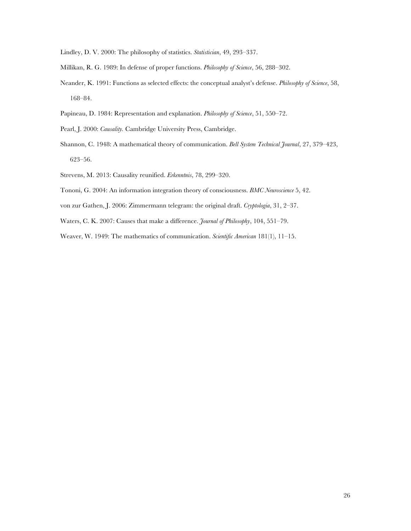- Lindley, D. V. 2000: The philosophy of statistics. *Statistician*, 49, 293–337.
- Millikan, R. G. 1989: In defense of proper functions. *Philosophy of Science*, 56, 288–302.
- Neander, K. 1991: Functions as selected effects: the conceptual analyst's defense. *Philosophy of Science*, 58, 168–84.
- Papineau, D. 1984: Representation and explanation. *Philosophy of Science*, 51, 550–72.
- Pearl, J. 2000: *Causality.* Cambridge University Press, Cambridge.
- Shannon, C. 1948: A mathematical theory of communication. *Bell System Technical Journal*, 27, 379–423, 623–56.
- Strevens, M. 2013: Causality reunified. *Erkenntnis*, 78, 299–320.
- Tononi, G. 2004: An information integration theory of consciousness. *BMC Neuroscience* 5, 42.
- von zur Gathen, J. 2006: Zimmermann telegram: the original draft. *Cryptologia*, 31, 2–37.
- Waters, C. K. 2007: Causes that make a difference. *Journal of Philosophy*, 104, 551–79.
- Weaver, W. 1949: The mathematics of communication. *Scientific American* 181(1), 11–15.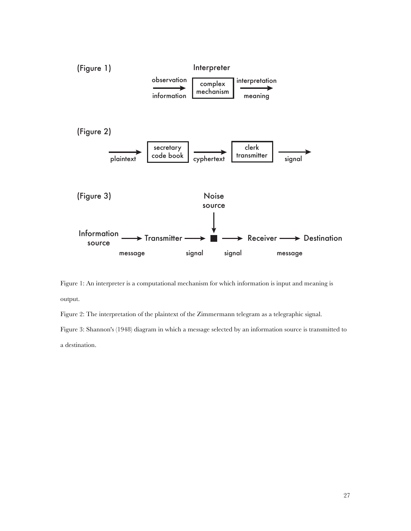

Figure 1: An interpreter is a computational mechanism for which information is input and meaning is output.

Figure 2: The interpretation of the plaintext of the Zimmermann telegram as a telegraphic signal.

Figure 3: Shannon's (1948) diagram in which a message selected by an information source is transmitted to a destination.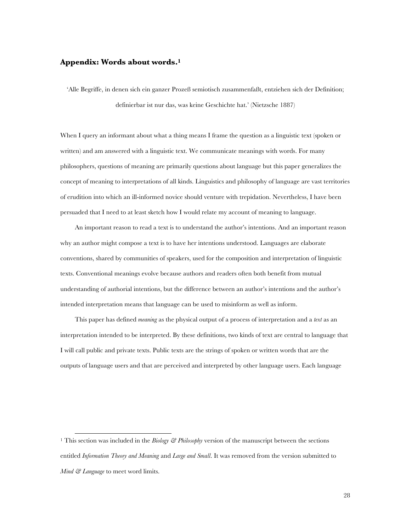## **Appendix: Words about words.1**

'Alle Begriffe, in denen sich ein ganzer Prozeß semiotisch zusammenfaßt, entziehen sich der Definition; definierbar ist nur das, was keine Geschichte hat.' (Nietzsche 1887)

When I query an informant about what a thing means I frame the question as a linguistic text (spoken or written) and am answered with a linguistic text. We communicate meanings with words. For many philosophers, questions of meaning are primarily questions about language but this paper generalizes the concept of meaning to interpretations of all kinds. Linguistics and philosophy of language are vast territories of erudition into which an ill-informed novice should venture with trepidation. Nevertheless, I have been persuaded that I need to at least sketch how I would relate my account of meaning to language.

An important reason to read a text is to understand the author's intentions. And an important reason why an author might compose a text is to have her intentions understood. Languages are elaborate conventions, shared by communities of speakers, used for the composition and interpretation of linguistic texts. Conventional meanings evolve because authors and readers often both benefit from mutual understanding of authorial intentions, but the difference between an author's intentions and the author's intended interpretation means that language can be used to misinform as well as inform.

This paper has defined *meaning* as the physical output of a process of interpretation and a *text* as an interpretation intended to be interpreted. By these definitions, two kinds of text are central to language that I will call public and private texts. Public texts are the strings of spoken or written words that are the outputs of language users and that are perceived and interpreted by other language users. Each language

 <sup>1</sup> This section was included in the *Biology & Philosophy* version of the manuscript between the sections entitled *Information Theory and Meaning* and *Large and Small*. It was removed from the version submitted to *Mind & Language* to meet word limits.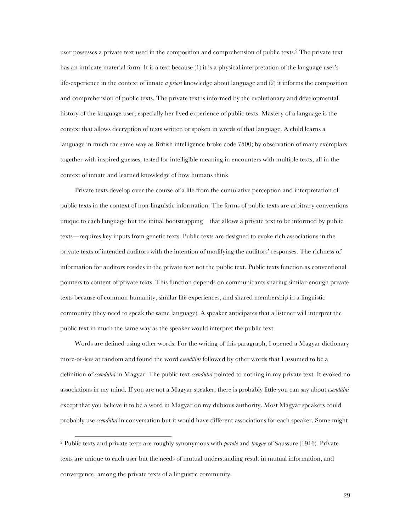user possesses a private text used in the composition and comprehension of public texts.2 The private text has an intricate material form. It is a text because (1) it is a physical interpretation of the language user's life-experience in the context of innate *a priori* knowledge about language and (2) it informs the composition and comprehension of public texts. The private text is informed by the evolutionary and developmental history of the language user, especially her lived experience of public texts. Mastery of a language is the context that allows decryption of texts written or spoken in words of that language. A child learns a language in much the same way as British intelligence broke code 7500; by observation of many exemplars together with inspired guesses, tested for intelligible meaning in encounters with multiple texts, all in the context of innate and learned knowledge of how humans think.

Private texts develop over the course of a life from the cumulative perception and interpretation of public texts in the context of non-linguistic information. The forms of public texts are arbitrary conventions unique to each language but the initial bootstrapping—that allows a private text to be informed by public texts—requires key inputs from genetic texts. Public texts are designed to evoke rich associations in the private texts of intended auditors with the intention of modifying the auditors' responses. The richness of information for auditors resides in the private text not the public text. Public texts function as conventional pointers to content of private texts. This function depends on communicants sharing similar-enough private texts because of common humanity, similar life experiences, and shared membership in a linguistic community (they need to speak the same language). A speaker anticipates that a listener will interpret the public text in much the same way as the speaker would interpret the public text.

Words are defined using other words. For the writing of this paragraph, I opened a Magyar dictionary more-or-less at random and found the word *csendülni* followed by other words that I assumed to be a definition of *csendülni* in Magyar. The public text *csendülni* pointed to nothing in my private text. It evoked no associations in my mind. If you are not a Magyar speaker, there is probably little you can say about *csendülni* except that you believe it to be a word in Magyar on my dubious authority. Most Magyar speakers could probably use *csendülni* in conversation but it would have different associations for each speaker. Some might

 <sup>2</sup> Public texts and private texts are roughly synonymous with *parole* and *langue* of Saussure (1916). Private texts are unique to each user but the needs of mutual understanding result in mutual information, and convergence, among the private texts of a linguistic community.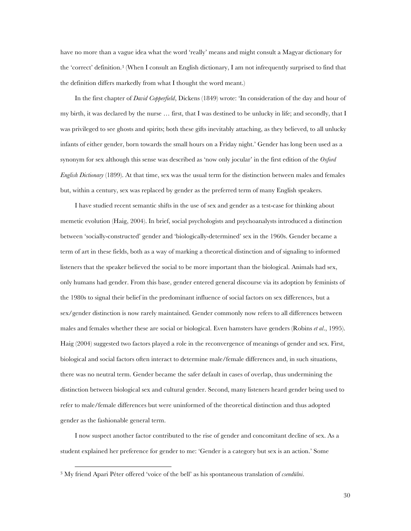have no more than a vague idea what the word 'really' means and might consult a Magyar dictionary for the 'correct' definition.3 (When I consult an English dictionary, I am not infrequently surprised to find that the definition differs markedly from what I thought the word meant.)

In the first chapter of *David Copperfield*, Dickens (1849) wrote: 'In consideration of the day and hour of my birth, it was declared by the nurse … first, that I was destined to be unlucky in life; and secondly, that I was privileged to see ghosts and spirits; both these gifts inevitably attaching, as they believed, to all unlucky infants of either gender, born towards the small hours on a Friday night.' Gender has long been used as a synonym for sex although this sense was described as 'now only jocular' in the first edition of the *Oxford English Dictionary* (1899). At that time, sex was the usual term for the distinction between males and females but, within a century, sex was replaced by gender as the preferred term of many English speakers.

I have studied recent semantic shifts in the use of sex and gender as a test-case for thinking about memetic evolution (Haig, 2004). In brief, social psychologists and psychoanalysts introduced a distinction between 'socially-constructed' gender and 'biologically-determined' sex in the 1960s. Gender became a term of art in these fields, both as a way of marking a theoretical distinction and of signaling to informed listeners that the speaker believed the social to be more important than the biological. Animals had sex, only humans had gender. From this base, gender entered general discourse via its adoption by feminists of the 1980s to signal their belief in the predominant influence of social factors on sex differences, but a sex/gender distinction is now rarely maintained. Gender commonly now refers to all differences between males and females whether these are social or biological. Even hamsters have genders (Robins *et al*., 1995). Haig (2004) suggested two factors played a role in the reconvergence of meanings of gender and sex. First, biological and social factors often interact to determine male/female differences and, in such situations, there was no neutral term. Gender became the safer default in cases of overlap, thus undermining the distinction between biological sex and cultural gender. Second, many listeners heard gender being used to refer to male/female differences but were uninformed of the theoretical distinction and thus adopted gender as the fashionable general term.

I now suspect another factor contributed to the rise of gender and concomitant decline of sex. As a student explained her preference for gender to me: 'Gender is a category but sex is an action.' Some

 <sup>3</sup> My friend Apari Péter offered 'voice of the bell' as his spontaneous translation of *csendülni*.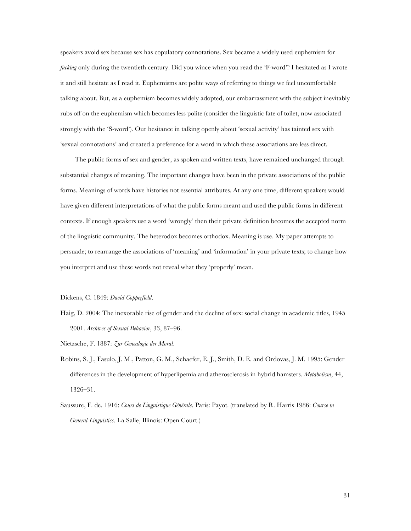speakers avoid sex because sex has copulatory connotations. Sex became a widely used euphemism for *fucking* only during the twentieth century. Did you wince when you read the 'F-word'? I hesitated as I wrote it and still hesitate as I read it. Euphemisms are polite ways of referring to things we feel uncomfortable talking about. But, as a euphemism becomes widely adopted, our embarrassment with the subject inevitably rubs off on the euphemism which becomes less polite (consider the linguistic fate of toilet, now associated strongly with the 'S-word'). Our hesitance in talking openly about 'sexual activity' has tainted sex with 'sexual connotations' and created a preference for a word in which these associations are less direct.

The public forms of sex and gender, as spoken and written texts, have remained unchanged through substantial changes of meaning. The important changes have been in the private associations of the public forms. Meanings of words have histories not essential attributes. At any one time, different speakers would have given different interpretations of what the public forms meant and used the public forms in different contexts. If enough speakers use a word 'wrongly' then their private definition becomes the accepted norm of the linguistic community. The heterodox becomes orthodox. Meaning is use. My paper attempts to persuade; to rearrange the associations of 'meaning' and 'information' in your private texts; to change how you interpret and use these words not reveal what they 'properly' mean.

Dickens, C. 1849: *David Copperfield*.

- Haig, D. 2004: The inexorable rise of gender and the decline of sex: social change in academic titles, 1945– 2001. *Archives of Sexual Behavior*, 33, 87–96.
- Nietzsche, F. 1887: *Zur Genealogie der Moral*.
- Robins, S. J., Fasulo, J. M., Patton, G. M., Schaefer, E. J., Smith, D. E. and Ordovas, J. M. 1995: Gender differences in the development of hyperlipemia and atherosclerosis in hybrid hamsters. *Metabolism*, 44, 1326–31.
- Saussure, F. de. 1916: *Cours de Linguistique Générale*. Paris: Payot. (translated by R. Harris 1986: *Course in General Linguistics*. La Salle, Illinois: Open Court.)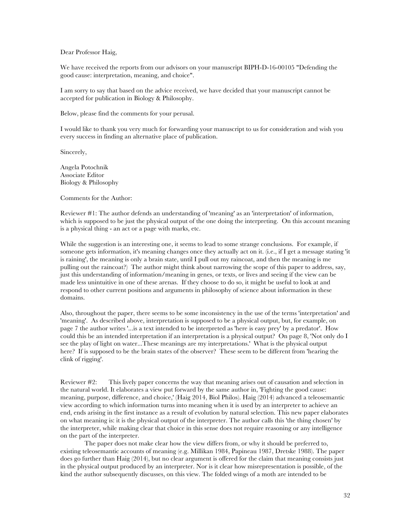Dear Professor Haig,

We have received the reports from our advisors on your manuscript BIPH-D-16-00105 "Defending the good cause: interpretation, meaning, and choice".

I am sorry to say that based on the advice received, we have decided that your manuscript cannot be accepted for publication in Biology & Philosophy.

Below, please find the comments for your perusal.

I would like to thank you very much for forwarding your manuscript to us for consideration and wish you every success in finding an alternative place of publication.

Sincerely,

Angela Potochnik Associate Editor Biology & Philosophy

Comments for the Author:

Reviewer #1: The author defends an understanding of 'meaning' as an 'interpretation' of information, which is supposed to be just the physical output of the one doing the interpreting. On this account meaning is a physical thing - an act or a page with marks, etc.

While the suggestion is an interesting one, it seems to lead to some strange conclusions. For example, if someone gets information, it's meaning changes once they actually act on it. (i.e., if I get a message stating 'it is raining', the meaning is only a brain state, until I pull out my raincoat, and then the meaning is me pulling out the raincoat?) The author might think about narrowing the scope of this paper to address, say, just this understanding of information/meaning in genes, or texts, or lives and seeing if the view can be made less unintuitive in one of these arenas. If they choose to do so, it might be useful to look at and respond to other current positions and arguments in philosophy of science about information in these domains.

Also, throughout the paper, there seems to be some inconsistency in the use of the terms 'interpretation' and 'meaning'. As described above, interpretation is supposed to be a physical output, but, for example, on page 7 the author writes '...is a text intended to be interpreted as 'here is easy prey' by a predator'. How could this be an intended interpretation if an interpretation is a physical output? On page 8, 'Not only do I see the play of light on water...These meanings are my interpretations.' What is the physical output here? If is supposed to be the brain states of the observer? These seem to be different from 'hearing the clink of rigging'.

Reviewer #2: This lively paper concerns the way that meaning arises out of causation and selection in the natural world. It elaborates a view put forward by the same author in, 'Fighting the good cause: meaning, purpose, difference, and choice,' (Haig 2014, Biol Philos). Haig (2014) advanced a teleosemantic view according to which information turns into meaning when it is used by an interpreter to achieve an end, ends arising in the first instance as a result of evolution by natural selection. This new paper elaborates on what meaning is: it is the physical output of the interpreter. The author calls this 'the thing chosen' by the interpreter, while making clear that choice in this sense does not require reasoning or any intelligence on the part of the interpreter.

The paper does not make clear how the view differs from, or why it should be preferred to, existing teleosemantic accounts of meaning (e.g. Millikan 1984, Papineau 1987, Dretske 1988). The paper does go further than Haig (2014), but no clear argument is offered for the claim that meaning consists just in the physical output produced by an interpreter. Nor is it clear how misrepresentation is possible, of the kind the author subsequently discusses, on this view. The folded wings of a moth are intended to be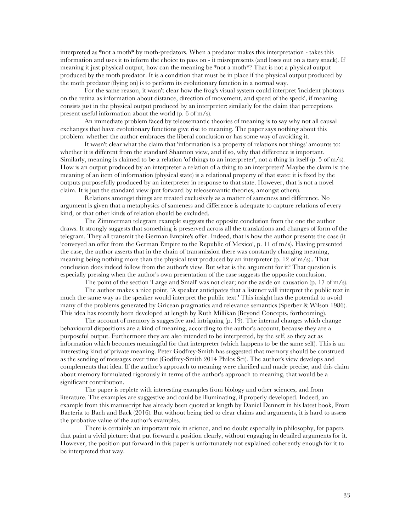interpreted as \*not a moth\* by moth-predators. When a predator makes this interpretation - takes this information and uses it to inform the choice to pass on - it misrepresents (and loses out on a tasty snack). If meaning it just physical output, how can the meaning be \*not a moth\*? That is not a physical output produced by the moth predator. It is a condition that must be in place if the physical output produced by the moth predator (flying on) is to perform its evolutionary function in a normal way.

For the same reason, it wasn't clear how the frog's visual system could interpret 'incident photons on the retina as information about distance, direction of movement, and speed of the speck', if meaning consists just in the physical output produced by an interpreter; similarly for the claim that perceptions present useful information about the world (p. 6 of m/s).

An immediate problem faced by teleosemantic theories of meaning is to say why not all causal exchanges that have evolutionary functions give rise to meaning. The paper says nothing about this problem: whether the author embraces the liberal conclusion or has some way of avoiding it.

It wasn't clear what the claim that 'information is a property of relations not things' amounts to: whether it is different from the standard Shannon view, and if so, why that difference is important. Similarly, meaning is claimed to be a relation 'of things to an interpreter', not a thing in itself (p.  $5 \text{ of } m/s$ ). How is an output produced by an interpreter a relation of a thing to an interpreter? Maybe the claim is: the meaning of an item of information (physical state) is a relational property of that state: it is fixed by the outputs purposefully produced by an interpreter in response to that state. However, that is not a novel claim. It is just the standard view (put forward by teleosemantic theories, amongst others).

Relations amongst things are treated exclusively as a matter of sameness and difference. No argument is given that a metaphysics of sameness and difference is adequate to capture relations of every kind, or that other kinds of relation should be excluded.

The Zimmerman telegram example suggests the opposite conclusion from the one the author draws. It strongly suggests that something is preserved across all the translations and changes of form of the telegram. They all transmit the German Empire's offer. Indeed, that is how the author presents the case (it 'conveyed an offer from the German Empire to the Republic of Mexico', p. 11 of m/s). Having presented the case, the author asserts that in the chain of transmission there was constantly changing meaning, meaning being nothing more than the physical text produced by an interpreter (p. 12 of m/s).. That conclusion does indeed follow from the author's view. But what is the argument for it? That question is especially pressing when the author's own presentation of the case suggests the opposite conclusion.

The point of the section 'Large and Small' was not clear; nor the aside on causation  $(p. 17 \text{ of m/s})$ .

The author makes a nice point, 'A speaker anticipates that a listener will interpret the public text in much the same way as the speaker would interpret the public text.' This insight has the potential to avoid many of the problems generated by Gricean pragmatics and relevance semantics (Sperber & Wilson 1986). This idea has recently been developed at length by Ruth Millikan (Beyond Concepts, forthcoming).

The account of memory is suggestive and intriguing (p. 19). The internal changes which change behavioural dispositions are a kind of meaning, according to the author's account, because they are a purposeful output. Furthermore they are also intended to be interpreted, by the self, so they act as information which becomes meaningful for that interpreter (which happens to be the same self). This is an interesting kind of private meaning. Peter Godfrey-Smith has suggested that memory should be construed as the sending of messages over time (Godfrey-Smith 2014 Philos Sci). The author's view develops and complements that idea. If the author's approach to meaning were clarified and made precise, and this claim about memory formulated rigorously in terms of the author's approach to meaning, that would be a significant contribution.

The paper is replete with interesting examples from biology and other sciences, and from literature. The examples are suggestive and could be illuminating, if properly developed. Indeed, an example from this manuscript has already been quoted at length by Daniel Dennett in his latest book, From Bacteria to Bach and Back (2016). But without being tied to clear claims and arguments, it is hard to assess the probative value of the author's examples.

There is certainly an important role in science, and no doubt especially in philosophy, for papers that paint a vivid picture: that put forward a position clearly, without engaging in detailed arguments for it. However, the position put forward in this paper is unfortunately not explained coherently enough for it to be interpreted that way.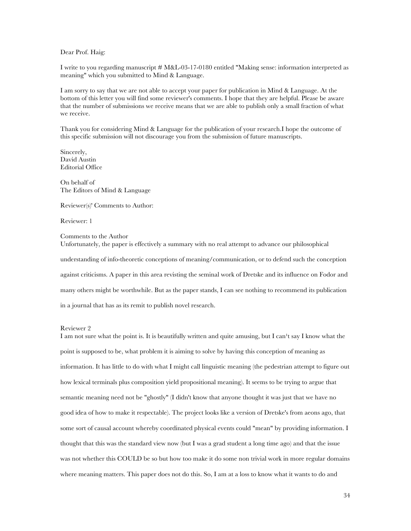Dear Prof. Haig:

I write to you regarding manuscript # M&L-03-17-0180 entitled "Making sense: information interpreted as meaning" which you submitted to Mind & Language.

I am sorry to say that we are not able to accept your paper for publication in Mind & Language. At the bottom of this letter you will find some reviewer's comments. I hope that they are helpful. Please be aware that the number of submissions we receive means that we are able to publish only a small fraction of what we receive.

Thank you for considering Mind & Language for the publication of your research.I hope the outcome of this specific submission will not discourage you from the submission of future manuscripts.

Sincerely, David Austin Editorial Office

On behalf of The Editors of Mind & Language

Reviewer(s)' Comments to Author:

Reviewer: 1

Comments to the Author Unfortunately, the paper is effectively a summary with no real attempt to advance our philosophical

understanding of info-theoretic conceptions of meaning/communication, or to defend such the conception against criticisms. A paper in this area revisting the seminal work of Dretske and its influence on Fodor and many others might be worthwhile. But as the paper stands, I can see nothing to recommend its publication in a journal that has as its remit to publish novel research.

Reviewer 2

I am not sure what the point is. It is beautifully written and quite amusing, but I can't say I know what the point is supposed to be, what problem it is aiming to solve by having this conception of meaning as information. It has little to do with what I might call linguistic meaning (the pedestrian attempt to figure out how lexical terminals plus composition yield propositional meaning). It seems to be trying to argue that semantic meaning need not be "ghostly" (I didn't know that anyone thought it was just that we have no good idea of how to make it respectable). The project looks like a version of Dretske's from aeons ago, that some sort of causal account whereby coordinated physical events could "mean" by providing information. I thought that this was the standard view now (but I was a grad student a long time ago) and that the issue was not whether this COULD be so but how too make it do some non trivial work in more regular domains where meaning matters. This paper does not do this. So, I am at a loss to know what it wants to do and